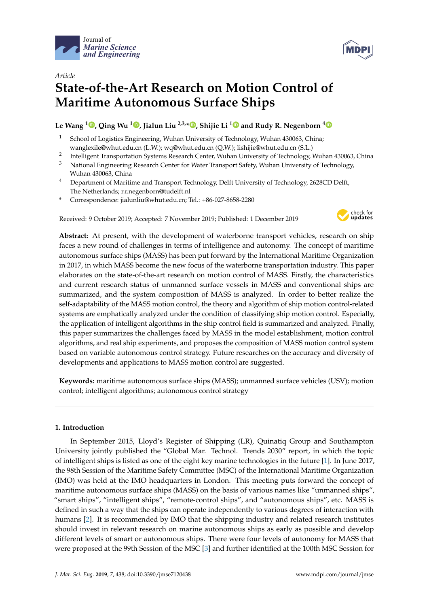



# *Article* **State-of-the-Art Research on Motion Control of Maritime Autonomous Surface Ships**

# **Le Wang <sup>1</sup> [,](https://orcid.org/0000-0002-5485-1076) Qing Wu <sup>1</sup> [,](https://orcid.org/0000-0002-1435-6556) Jialun Liu 2,3,[\\*](https://orcid.org/0000-0002-0802-8986) , Shijie Li [1](https://orcid.org/0000-0003-0025-760X) and Rudy R. Negenborn [4](https://orcid.org/0000-0001-9784-1225)**

- School of Logistics Engineering, Wuhan University of Technology, Wuhan 430063, China; wanglexile@whut.edu.cn (L.W.); wq@whut.edu.cn (Q.W.); lishijie@whut.edu.cn (S.L.)
- 2 Intelligent Transportation Systems Research Center, Wuhan University of Technology, Wuhan 430063, China
- <sup>3</sup> National Engineering Research Center for Water Transport Safety, Wuhan University of Technology, Wuhan 430063, China
- <sup>4</sup> Department of Maritime and Transport Technology, Delft University of Technology, 2628CD Delft, The Netherlands; r.r.negenborn@tudelft.nl
- **\*** Correspondence: jialunliu@whut.edu.cn; Tel.: +86-027-8658-2280

Received: 9 October 2019; Accepted: 7 November 2019; Published: 1 December 2019



**Abstract:** At present, with the development of waterborne transport vehicles, research on ship faces a new round of challenges in terms of intelligence and autonomy. The concept of maritime autonomous surface ships (MASS) has been put forward by the International Maritime Organization in 2017, in which MASS become the new focus of the waterborne transportation industry. This paper elaborates on the state-of-the-art research on motion control of MASS. Firstly, the characteristics and current research status of unmanned surface vessels in MASS and conventional ships are summarized, and the system composition of MASS is analyzed. In order to better realize the self-adaptability of the MASS motion control, the theory and algorithm of ship motion control-related systems are emphatically analyzed under the condition of classifying ship motion control. Especially, the application of intelligent algorithms in the ship control field is summarized and analyzed. Finally, this paper summarizes the challenges faced by MASS in the model establishment, motion control algorithms, and real ship experiments, and proposes the composition of MASS motion control system based on variable autonomous control strategy. Future researches on the accuracy and diversity of developments and applications to MASS motion control are suggested.

**Keywords:** maritime autonomous surface ships (MASS); unmanned surface vehicles (USV); motion control; intelligent algorithms; autonomous control strategy

# **1. Introduction**

In September 2015, Lloyd's Register of Shipping (LR), Quinatiq Group and Southampton University jointly published the "Global Mar. Technol. Trends 2030" report, in which the topic of intelligent ships is listed as one of the eight key marine technologies in the future [\[1\]](#page-21-0). In June 2017, the 98th Session of the Maritime Safety Committee (MSC) of the International Maritime Organization (IMO) was held at the IMO headquarters in London. This meeting puts forward the concept of maritime autonomous surface ships (MASS) on the basis of various names like "unmanned ships", "smart ships", "intelligent ships", "remote-control ships", and "autonomous ships", etc. MASS is defined in such a way that the ships can operate independently to various degrees of interaction with humans [\[2\]](#page-21-1). It is recommended by IMO that the shipping industry and related research institutes should invest in relevant research on marine autonomous ships as early as possible and develop different levels of smart or autonomous ships. There were four levels of autonomy for MASS that were proposed at the 99th Session of the MSC [\[3\]](#page-21-2) and further identified at the 100th MSC Session for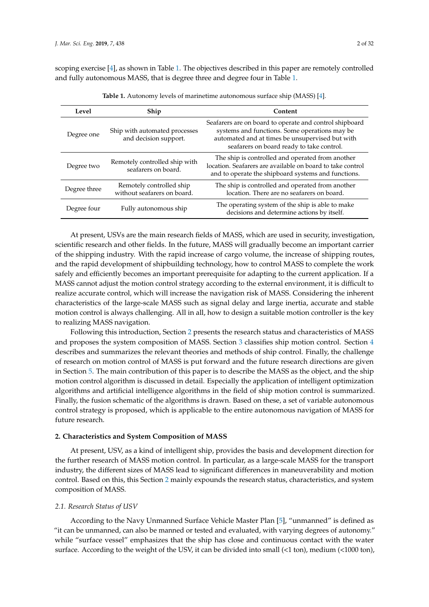scoping exercise [\[4\]](#page-21-3), as shown in Table [1.](#page-1-0) The objectives described in this paper are remotely controlled and fully autonomous MASS, that is degree three and degree four in Table [1.](#page-1-0)

<span id="page-1-0"></span>

| Level                                                                   | Ship                                                   | Content                                                                                                                                                                                                  |  |
|-------------------------------------------------------------------------|--------------------------------------------------------|----------------------------------------------------------------------------------------------------------------------------------------------------------------------------------------------------------|--|
| Degree one                                                              | Ship with automated processes<br>and decision support. | Seafarers are on board to operate and control shipboard<br>systems and functions. Some operations may be<br>automated and at times be unsupervised but with<br>seafarers on board ready to take control. |  |
| Degree two                                                              | Remotely controlled ship with<br>seafarers on board.   | The ship is controlled and operated from another<br>location. Seafarers are available on board to take control<br>and to operate the shipboard systems and functions.                                    |  |
| Remotely controlled ship<br>Degree three<br>without seafarers on board. |                                                        | The ship is controlled and operated from another<br>location. There are no seafarers on board.                                                                                                           |  |
| Fully autonomous ship<br>Degree four                                    |                                                        | The operating system of the ship is able to make<br>decisions and determine actions by itself.                                                                                                           |  |

**Table 1.** Autonomy levels of marinetime autonomous surface ship (MASS) [\[4\]](#page-21-3).

At present, USVs are the main research fields of MASS, which are used in security, investigation, scientific research and other fields. In the future, MASS will gradually become an important carrier of the shipping industry. With the rapid increase of cargo volume, the increase of shipping routes, and the rapid development of shipbuilding technology, how to control MASS to complete the work safely and efficiently becomes an important prerequisite for adapting to the current application. If a MASS cannot adjust the motion control strategy according to the external environment, it is difficult to realize accurate control, which will increase the navigation risk of MASS. Considering the inherent characteristics of the large-scale MASS such as signal delay and large inertia, accurate and stable motion control is always challenging. All in all, how to design a suitable motion controller is the key to realizing MASS navigation.

Following this introduction, Section [2](#page-1-1) presents the research status and characteristics of MASS and proposes the system composition of MASS. Section [3](#page-4-0) classifies ship motion control. Section [4](#page-8-0) describes and summarizes the relevant theories and methods of ship control. Finally, the challenge of research on motion control of MASS is put forward and the future research directions are given in Section [5.](#page-19-0) The main contribution of this paper is to describe the MASS as the object, and the ship motion control algorithm is discussed in detail. Especially the application of intelligent optimization algorithms and artificial intelligence algorithms in the field of ship motion control is summarized. Finally, the fusion schematic of the algorithms is drawn. Based on these, a set of variable autonomous control strategy is proposed, which is applicable to the entire autonomous navigation of MASS for future research.

#### <span id="page-1-1"></span>**2. Characteristics and System Composition of MASS**

At present, USV, as a kind of intelligent ship, provides the basis and development direction for the further research of MASS motion control. In particular, as a large-scale MASS for the transport industry, the different sizes of MASS lead to significant differences in maneuverability and motion control. Based on this, this Section [2](#page-1-1) mainly expounds the research status, characteristics, and system composition of MASS.

#### *2.1. Research Status of USV*

According to the Navy Unmanned Surface Vehicle Master Plan [\[5\]](#page-21-4), "unmanned" is defined as "it can be unmanned, can also be manned or tested and evaluated, with varying degrees of autonomy." while "surface vessel" emphasizes that the ship has close and continuous contact with the water surface. According to the weight of the USV, it can be divided into small  $\langle$ <1 ton), medium  $\langle$ <1000 ton),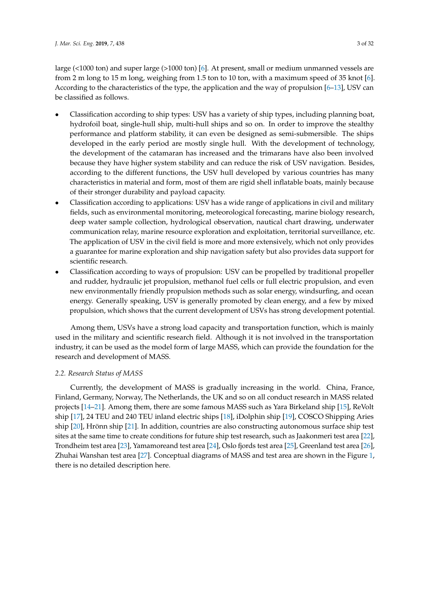large (<1000 ton) and super large (>1000 ton) [\[6\]](#page-21-5). At present, small or medium unmanned vessels are from 2 m long to 15 m long, weighing from 1.5 ton to 10 ton, with a maximum speed of 35 knot [\[6\]](#page-21-5). According to the characteristics of the type, the application and the way of propulsion [\[6](#page-21-5)[–13\]](#page-21-6), USV can be classified as follows.

- Classification according to ship types: USV has a variety of ship types, including planning boat, hydrofoil boat, single-hull ship, multi-hull ships and so on. In order to improve the stealthy performance and platform stability, it can even be designed as semi-submersible. The ships developed in the early period are mostly single hull. With the development of technology, the development of the catamaran has increased and the trimarans have also been involved because they have higher system stability and can reduce the risk of USV navigation. Besides, according to the different functions, the USV hull developed by various countries has many characteristics in material and form, most of them are rigid shell inflatable boats, mainly because of their stronger durability and payload capacity.
- Classification according to applications: USV has a wide range of applications in civil and military fields, such as environmental monitoring, meteorological forecasting, marine biology research, deep water sample collection, hydrological observation, nautical chart drawing, underwater communication relay, marine resource exploration and exploitation, territorial surveillance, etc. The application of USV in the civil field is more and more extensively, which not only provides a guarantee for marine exploration and ship navigation safety but also provides data support for scientific research.
- Classification according to ways of propulsion: USV can be propelled by traditional propeller and rudder, hydraulic jet propulsion, methanol fuel cells or full electric propulsion, and even new environmentally friendly propulsion methods such as solar energy, windsurfing, and ocean energy. Generally speaking, USV is generally promoted by clean energy, and a few by mixed propulsion, which shows that the current development of USVs has strong development potential.

Among them, USVs have a strong load capacity and transportation function, which is mainly used in the military and scientific research field. Although it is not involved in the transportation industry, it can be used as the model form of large MASS, which can provide the foundation for the research and development of MASS.

# *2.2. Research Status of MASS*

Currently, the development of MASS is gradually increasing in the world. China, France, Finland, Germany, Norway, The Netherlands, the UK and so on all conduct research in MASS related projects [\[14](#page-21-7)[–21\]](#page-22-0). Among them, there are some famous MASS such as Yara Birkeland ship [\[15\]](#page-21-8), ReVolt ship [\[17\]](#page-22-1), 24 TEU and 240 TEU inland electric ships [\[18\]](#page-22-2), iDolphin ship [\[19\]](#page-22-3), COSCO Shipping Aries ship [\[20\]](#page-22-4), Hrönn ship [\[21\]](#page-22-0). In addition, countries are also constructing autonomous surface ship test sites at the same time to create conditions for future ship test research, such as Jaakonmeri test area [\[22\]](#page-22-5), Trondheim test area [\[23\]](#page-22-6), Yamamoreand test area [\[24\]](#page-22-7), Oslo fjords test area [\[25\]](#page-22-8), Greenland test area [\[26\]](#page-22-9), Zhuhai Wanshan test area [\[27\]](#page-22-10). Conceptual diagrams of MASS and test area are shown in the Figure [1,](#page-3-0) there is no detailed description here.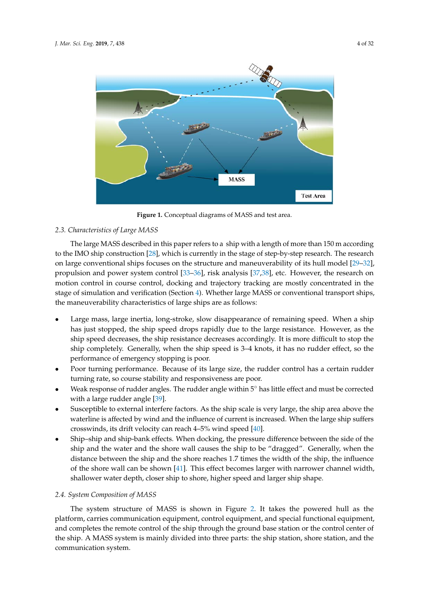<span id="page-3-0"></span>

**Figure 1.** Conceptual diagrams of MASS and test area.

## *2.3. Characteristics of Large MASS*

The large MASS described in this paper refers to a ship with a length of more than 150 m according to the IMO ship construction [\[28\]](#page-22-11), which is currently in the stage of step-by-step research. The research on large conventional ships focuses on the structure and maneuverability of its hull model [\[29](#page-22-12)[–32\]](#page-22-13), propulsion and power system control [\[33–](#page-22-14)[36\]](#page-22-15), risk analysis [\[37](#page-22-16)[,38\]](#page-22-17), etc. However, the research on motion control in course control, docking and trajectory tracking are mostly concentrated in the stage of simulation and verification (Section [4\)](#page-8-0). Whether large MASS or conventional transport ships, the maneuverability characteristics of large ships are as follows:

- Large mass, large inertia, long-stroke, slow disappearance of remaining speed. When a ship has just stopped, the ship speed drops rapidly due to the large resistance. However, as the ship speed decreases, the ship resistance decreases accordingly. It is more difficult to stop the ship completely. Generally, when the ship speed is 3–4 knots, it has no rudder effect, so the performance of emergency stopping is poor.
- Poor turning performance. Because of its large size, the rudder control has a certain rudder turning rate, so course stability and responsiveness are poor.
- Weak response of rudder angles. The rudder angle within  $5°$  has little effect and must be corrected with a large rudder angle [\[39\]](#page-22-18).
- Susceptible to external interfere factors. As the ship scale is very large, the ship area above the waterline is affected by wind and the influence of current is increased. When the large ship suffers crosswinds, its drift velocity can reach 4–5% wind speed [\[40\]](#page-22-19).
- Ship–ship and ship-bank effects. When docking, the pressure difference between the side of the ship and the water and the shore wall causes the ship to be "dragged". Generally, when the distance between the ship and the shore reaches 1.7 times the width of the ship, the influence of the shore wall can be shown [\[41\]](#page-22-20). This effect becomes larger with narrower channel width, shallower water depth, closer ship to shore, higher speed and larger ship shape.

#### *2.4. System Composition of MASS*

The system structure of MASS is shown in Figure [2.](#page-4-1) It takes the powered hull as the platform, carries communication equipment, control equipment, and special functional equipment, and completes the remote control of the ship through the ground base station or the control center of the ship. A MASS system is mainly divided into three parts: the ship station, shore station, and the communication system.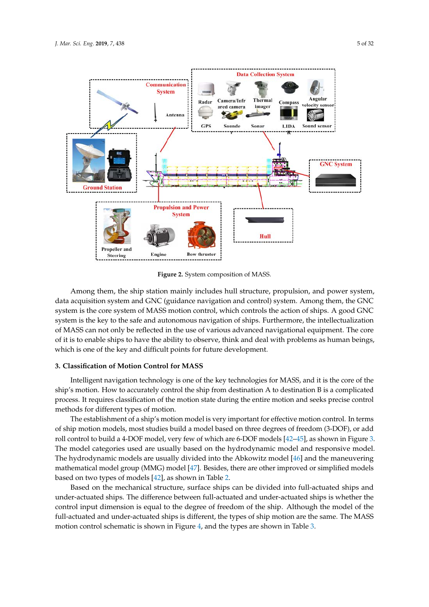<span id="page-4-1"></span>

**Figure 2.** System composition of MASS.

Among them, the ship station mainly includes hull structure, propulsion, and power system, data acquisition system and GNC (guidance navigation and control) system. Among them, the GNC system is the core system of MASS motion control, which controls the action of ships. A good GNC system is the key to the safe and autonomous navigation of ships. Furthermore, the intellectualization of MASS can not only be reflected in the use of various advanced navigational equipment. The core of it is to enable ships to have the ability to observe, think and deal with problems as human beings, which is one of the key and difficult points for future development.

# <span id="page-4-0"></span>**3. Classification of Motion Control for MASS**

Intelligent navigation technology is one of the key technologies for MASS, and it is the core of the ship's motion. How to accurately control the ship from destination A to destination B is a complicated process. It requires classification of the motion state during the entire motion and seeks precise control methods for different types of motion.

The establishment of a ship's motion model is very important for effective motion control. In terms of ship motion models, most studies build a model based on three degrees of freedom (3-DOF), or add roll control to build a 4-DOF model, very few of which are 6-DOF models [\[42](#page-22-21)[–45\]](#page-23-0), as shown in Figure [3.](#page-5-0) The model categories used are usually based on the hydrodynamic model and responsive model. The hydrodynamic models are usually divided into the Abkowitz model [\[46\]](#page-23-1) and the maneuvering mathematical model group (MMG) model [\[47\]](#page-23-2). Besides, there are other improved or simplified models based on two types of models [\[42\]](#page-22-21), as shown in Table [2.](#page-5-1)

Based on the mechanical structure, surface ships can be divided into full-actuated ships and under-actuated ships. The difference between full-actuated and under-actuated ships is whether the control input dimension is equal to the degree of freedom of the ship. Although the model of the full-actuated and under-actuated ships is different, the types of ship motion are the same. The MASS motion control schematic is shown in Figure [4,](#page-5-2) and the types are shown in Table [3.](#page-6-0)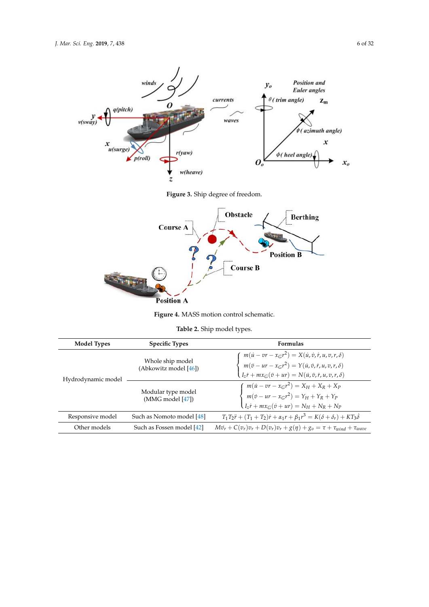<span id="page-5-0"></span>

**Figure 3.** Ship degree of freedom.

<span id="page-5-2"></span>

**Figure 4.** MASS motion control schematic.

|  | Table 2. Ship model types. |
|--|----------------------------|
|--|----------------------------|

<span id="page-5-1"></span>

| <b>Model Types</b> | <b>Specific Types</b>                     | <b>Formulas</b>                                                                                                                                                                                                                                                           |  |
|--------------------|-------------------------------------------|---------------------------------------------------------------------------------------------------------------------------------------------------------------------------------------------------------------------------------------------------------------------------|--|
| Hydrodynamic model | Whole ship model<br>(Abkowitz model [46]) | $\label{eq:1} \left\{ \begin{array}{l} m(\dot{u}-vr-x_{G}r^{2})=X(\dot{u},\dot{v},\dot{r},u,v,r,\delta)\\ m(\dot{v}-ur-x_{G}r^{2})=Y(\dot{u},\dot{v},\dot{r},u,v,r,\delta)\\ I_{z}\dot{r}+mx_{G}(\dot{v}+ur)=N(\dot{u},\dot{v},\dot{r},u,v,r,\delta) \end{array} \right.$ |  |
|                    | Modular type model<br>(MMG model [47])    | $\label{eq:2} \left\{ \begin{aligned} m(\dot{u}-vr-x_{G}r^{2})&=X_{H}+X_{R}+X_{P}\\ m(\dot{v}-ur-x_{G}r^{2})&=Y_{H}+Y_{R}+Y_{P}\\ I_{z}\dot{r}+mx_{G}(\dot{v}+ur)&=N_{H}+N_{R}+N_{P} \end{aligned} \right.$                                                               |  |
| Responsive model   | Such as Nomoto model [48]                 | $T_1 T_2 \ddot{r} + (T_1 + T_2)\dot{r} + \alpha_1 r + \beta_1 r^3 = K(\delta + \delta_r) + KT_3 \dot{\delta}$                                                                                                                                                             |  |
| Other models       | Such as Fossen model [42]                 | $M\dot{v}_r + C(v_r)v_r + D(v_r)v_r + g(\eta) + g_o = \tau + \tau_{wind} + \tau_{wave}$                                                                                                                                                                                   |  |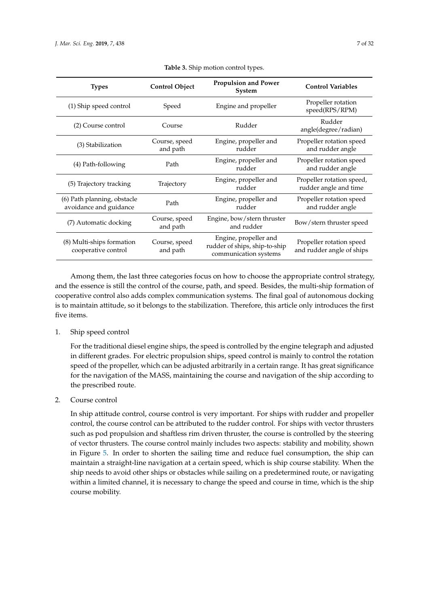<span id="page-6-0"></span>

| <b>Types</b>                                          | <b>Control Object</b>     | <b>Propulsion and Power</b><br>System                                           | <b>Control Variables</b>                              |
|-------------------------------------------------------|---------------------------|---------------------------------------------------------------------------------|-------------------------------------------------------|
| (1) Ship speed control                                | Speed                     | Engine and propeller                                                            | Propeller rotation<br>speed(RPS/RPM)                  |
| (2) Course control                                    | Course                    | Rudder                                                                          | Rudder<br>angle(degree/radian)                        |
| (3) Stabilization                                     | Course, speed<br>and path | Engine, propeller and<br>rudder                                                 | Propeller rotation speed<br>and rudder angle          |
| (4) Path-following                                    | Path                      | Engine, propeller and<br>rudder                                                 | Propeller rotation speed<br>and rudder angle          |
| (5) Trajectory tracking                               | Trajectory                | Engine, propeller and<br>rudder                                                 | Propeller rotation speed,<br>rudder angle and time    |
| (6) Path planning, obstacle<br>avoidance and guidance | Path                      | Engine, propeller and<br>rudder                                                 | Propeller rotation speed<br>and rudder angle          |
| (7) Automatic docking                                 | Course, speed<br>and path | Engine, bow/stern thruster<br>and rudder                                        | Bow/stern thruster speed                              |
| (8) Multi-ships formation<br>cooperative control      | Course, speed<br>and path | Engine, propeller and<br>rudder of ships, ship-to-ship<br>communication systems | Propeller rotation speed<br>and rudder angle of ships |

**Table 3.** Ship motion control types.

Among them, the last three categories focus on how to choose the appropriate control strategy, and the essence is still the control of the course, path, and speed. Besides, the multi-ship formation of cooperative control also adds complex communication systems. The final goal of autonomous docking is to maintain attitude, so it belongs to the stabilization. Therefore, this article only introduces the first five items.

1. Ship speed control

For the traditional diesel engine ships, the speed is controlled by the engine telegraph and adjusted in different grades. For electric propulsion ships, speed control is mainly to control the rotation speed of the propeller, which can be adjusted arbitrarily in a certain range. It has great significance for the navigation of the MASS, maintaining the course and navigation of the ship according to the prescribed route.

2. Course control

In ship attitude control, course control is very important. For ships with rudder and propeller control, the course control can be attributed to the rudder control. For ships with vector thrusters such as pod propulsion and shaftless rim driven thruster, the course is controlled by the steering of vector thrusters. The course control mainly includes two aspects: stability and mobility, shown in Figure [5.](#page-7-0) In order to shorten the sailing time and reduce fuel consumption, the ship can maintain a straight-line navigation at a certain speed, which is ship course stability. When the ship needs to avoid other ships or obstacles while sailing on a predetermined route, or navigating within a limited channel, it is necessary to change the speed and course in time, which is the ship course mobility.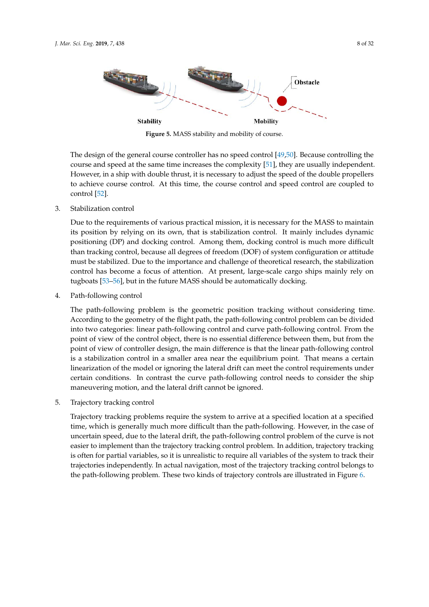<span id="page-7-0"></span>

**Figure 5.** MASS stability and mobility of course.

The design of the general course controller has no speed control [\[49](#page-23-4)[,50\]](#page-23-5). Because controlling the course and speed at the same time increases the complexity [\[51\]](#page-23-6), they are usually independent. However, in a ship with double thrust, it is necessary to adjust the speed of the double propellers to achieve course control. At this time, the course control and speed control are coupled to control [\[52\]](#page-23-7).

3. Stabilization control

Due to the requirements of various practical mission, it is necessary for the MASS to maintain its position by relying on its own, that is stabilization control. It mainly includes dynamic positioning (DP) and docking control. Among them, docking control is much more difficult than tracking control, because all degrees of freedom (DOF) of system configuration or attitude must be stabilized. Due to the importance and challenge of theoretical research, the stabilization control has become a focus of attention. At present, large-scale cargo ships mainly rely on tugboats [\[53–](#page-23-8)[56\]](#page-23-9), but in the future MASS should be automatically docking.

4. Path-following control

The path-following problem is the geometric position tracking without considering time. According to the geometry of the flight path, the path-following control problem can be divided into two categories: linear path-following control and curve path-following control. From the point of view of the control object, there is no essential difference between them, but from the point of view of controller design, the main difference is that the linear path-following control is a stabilization control in a smaller area near the equilibrium point. That means a certain linearization of the model or ignoring the lateral drift can meet the control requirements under certain conditions. In contrast the curve path-following control needs to consider the ship maneuvering motion, and the lateral drift cannot be ignored.

5. Trajectory tracking control

Trajectory tracking problems require the system to arrive at a specified location at a specified time, which is generally much more difficult than the path-following. However, in the case of uncertain speed, due to the lateral drift, the path-following control problem of the curve is not easier to implement than the trajectory tracking control problem. In addition, trajectory tracking is often for partial variables, so it is unrealistic to require all variables of the system to track their trajectories independently. In actual navigation, most of the trajectory tracking control belongs to the path-following problem. These two kinds of trajectory controls are illustrated in Figure [6.](#page-8-1)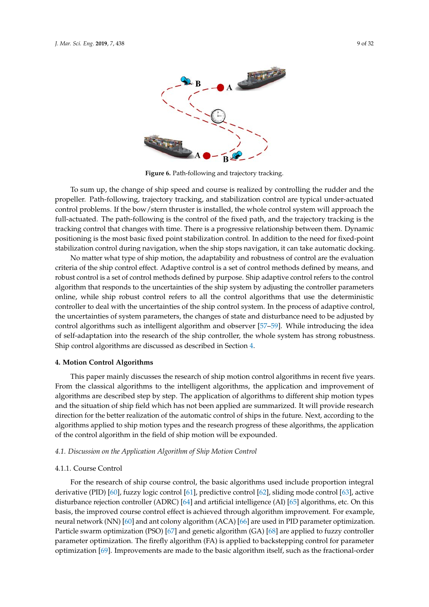<span id="page-8-1"></span>

**Figure 6.** Path-following and trajectory tracking.

To sum up, the change of ship speed and course is realized by controlling the rudder and the propeller. Path-following, trajectory tracking, and stabilization control are typical under-actuated control problems. If the bow/stern thruster is installed, the whole control system will approach the full-actuated. The path-following is the control of the fixed path, and the trajectory tracking is the tracking control that changes with time. There is a progressive relationship between them. Dynamic positioning is the most basic fixed point stabilization control. In addition to the need for fixed-point stabilization control during navigation, when the ship stops navigation, it can take automatic docking.

No matter what type of ship motion, the adaptability and robustness of control are the evaluation criteria of the ship control effect. Adaptive control is a set of control methods defined by means, and robust control is a set of control methods defined by purpose. Ship adaptive control refers to the control algorithm that responds to the uncertainties of the ship system by adjusting the controller parameters online, while ship robust control refers to all the control algorithms that use the deterministic controller to deal with the uncertainties of the ship control system. In the process of adaptive control, the uncertainties of system parameters, the changes of state and disturbance need to be adjusted by control algorithms such as intelligent algorithm and observer [\[57](#page-23-10)[–59\]](#page-23-11). While introducing the idea of self-adaptation into the research of the ship controller, the whole system has strong robustness. Ship control algorithms are discussed as described in Section [4.](#page-8-0)

#### <span id="page-8-0"></span>**4. Motion Control Algorithms**

This paper mainly discusses the research of ship motion control algorithms in recent five years. From the classical algorithms to the intelligent algorithms, the application and improvement of algorithms are described step by step. The application of algorithms to different ship motion types and the situation of ship field which has not been applied are summarized. It will provide research direction for the better realization of the automatic control of ships in the future. Next, according to the algorithms applied to ship motion types and the research progress of these algorithms, the application of the control algorithm in the field of ship motion will be expounded.

#### *4.1. Discussion on the Application Algorithm of Ship Motion Control*

#### 4.1.1. Course Control

For the research of ship course control, the basic algorithms used include proportion integral derivative (PID) [\[60\]](#page-23-12), fuzzy logic control [\[61\]](#page-23-13), predictive control [\[62\]](#page-23-14), sliding mode control [\[63\]](#page-23-15), active disturbance rejection controller (ADRC) [\[64\]](#page-23-16) and artificial intelligence (AI) [\[65\]](#page-23-17) algorithms, etc. On this basis, the improved course control effect is achieved through algorithm improvement. For example, neural network (NN) [\[60\]](#page-23-12) and ant colony algorithm (ACA) [\[66\]](#page-23-18) are used in PID parameter optimization. Particle swarm optimization (PSO) [\[67\]](#page-24-0) and genetic algorithm (GA) [\[68\]](#page-24-1) are applied to fuzzy controller parameter optimization. The firefly algorithm (FA) is applied to backstepping control for parameter optimization [\[69\]](#page-24-2). Improvements are made to the basic algorithm itself, such as the fractional-order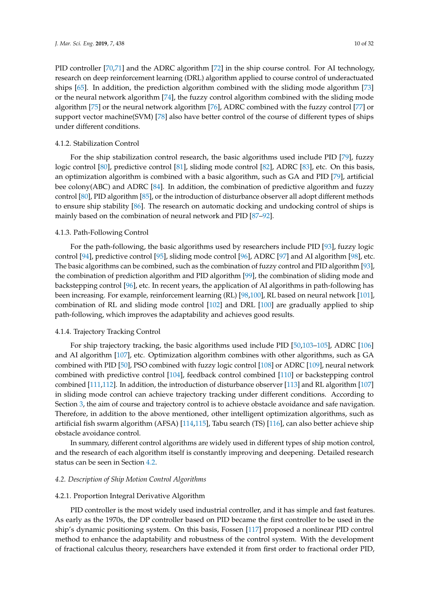PID controller [\[70](#page-24-3)[,71\]](#page-24-4) and the ADRC algorithm [\[72\]](#page-24-5) in the ship course control. For AI technology, research on deep reinforcement learning (DRL) algorithm applied to course control of underactuated ships [\[65\]](#page-23-17). In addition, the prediction algorithm combined with the sliding mode algorithm [\[73\]](#page-24-6) or the neural network algorithm [\[74\]](#page-24-7), the fuzzy control algorithm combined with the sliding mode algorithm [\[75\]](#page-24-8) or the neural network algorithm [\[76\]](#page-24-9), ADRC combined with the fuzzy control [\[77\]](#page-24-10) or support vector machine(SVM) [\[78\]](#page-24-11) also have better control of the course of different types of ships under different conditions.

#### 4.1.2. Stabilization Control

For the ship stabilization control research, the basic algorithms used include PID [\[79\]](#page-24-12), fuzzy logic control [\[80\]](#page-24-13), predictive control [\[81\]](#page-24-14), sliding mode control [\[82\]](#page-24-15), ADRC [\[83\]](#page-24-16), etc. On this basis, an optimization algorithm is combined with a basic algorithm, such as GA and PID [\[79\]](#page-24-12), artificial bee colony(ABC) and ADRC [\[84\]](#page-24-17). In addition, the combination of predictive algorithm and fuzzy control [\[80\]](#page-24-13), PID algorithm [\[85\]](#page-24-18), or the introduction of disturbance observer all adopt different methods to ensure ship stability [\[86\]](#page-24-19). The research on automatic docking and undocking control of ships is mainly based on the combination of neural network and PID [\[87–](#page-24-20)[92\]](#page-25-0).

#### 4.1.3. Path-Following Control

For the path-following, the basic algorithms used by researchers include PID [\[93\]](#page-25-1), fuzzy logic control [\[94\]](#page-25-2), predictive control [\[95\]](#page-25-3), sliding mode control [\[96\]](#page-25-4), ADRC [\[97\]](#page-25-5) and AI algorithm [\[98\]](#page-25-6), etc. The basic algorithms can be combined, such as the combination of fuzzy control and PID algorithm [\[93\]](#page-25-1), the combination of prediction algorithm and PID algorithm [\[99\]](#page-25-7), the combination of sliding mode and backstepping control [\[96\]](#page-25-4), etc. In recent years, the application of AI algorithms in path-following has been increasing. For example, reinforcement learning (RL) [\[98](#page-25-6)[,100\]](#page-25-8), RL based on neural network [\[101\]](#page-25-9), combination of RL and sliding mode control [\[102\]](#page-25-10) and DRL [\[100\]](#page-25-8) are gradually applied to ship path-following, which improves the adaptability and achieves good results.

#### 4.1.4. Trajectory Tracking Control

For ship trajectory tracking, the basic algorithms used include PID [\[50](#page-23-5)[,103–](#page-25-11)[105\]](#page-25-12), ADRC [\[106\]](#page-25-13) and AI algorithm [\[107\]](#page-25-14), etc. Optimization algorithm combines with other algorithms, such as GA combined with PID [\[50\]](#page-23-5), PSO combined with fuzzy logic control [\[108\]](#page-25-15) or ADRC [\[109\]](#page-25-16), neural network combined with predictive control [\[104\]](#page-25-17), feedback control combined [\[110\]](#page-25-18) or backstepping control combined [\[111](#page-25-19)[,112\]](#page-25-20). In addition, the introduction of disturbance observer [\[113\]](#page-25-21) and RL algorithm [\[107\]](#page-25-14) in sliding mode control can achieve trajectory tracking under different conditions. According to Section [3,](#page-4-0) the aim of course and trajectory control is to achieve obstacle avoidance and safe navigation. Therefore, in addition to the above mentioned, other intelligent optimization algorithms, such as artificial fish swarm algorithm (AFSA) [\[114,](#page-26-0)[115\]](#page-26-1), Tabu search (TS) [\[116\]](#page-26-2), can also better achieve ship obstacle avoidance control.

In summary, different control algorithms are widely used in different types of ship motion control, and the research of each algorithm itself is constantly improving and deepening. Detailed research status can be seen in Section [4.2.](#page-9-0)

#### <span id="page-9-0"></span>*4.2. Description of Ship Motion Control Algorithms*

#### 4.2.1. Proportion Integral Derivative Algorithm

PID controller is the most widely used industrial controller, and it has simple and fast features. As early as the 1970s, the DP controller based on PID became the first controller to be used in the ship's dynamic positioning system. On this basis, Fossen [\[117\]](#page-26-3) proposed a nonlinear PID control method to enhance the adaptability and robustness of the control system. With the development of fractional calculus theory, researchers have extended it from first order to fractional order PID,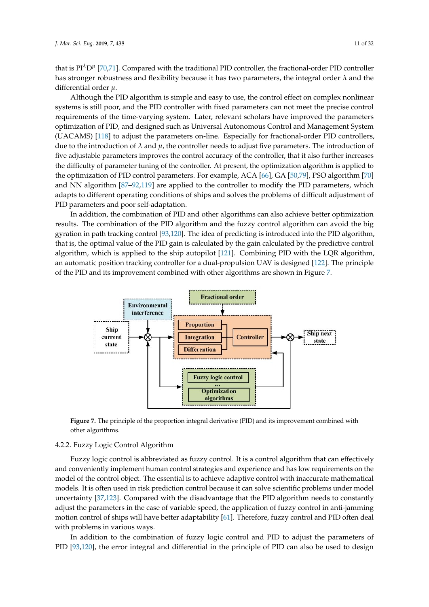that is PI<sup>λ</sup>D<sup>µ</sup> [\[70](#page-24-3)[,71\]](#page-24-4). Compared with the traditional PID controller, the fractional-order PID controller has stronger robustness and flexibility because it has two parameters, the integral order *λ* and the differential order *µ*.

Although the PID algorithm is simple and easy to use, the control effect on complex nonlinear systems is still poor, and the PID controller with fixed parameters can not meet the precise control requirements of the time-varying system. Later, relevant scholars have improved the parameters optimization of PID, and designed such as Universal Autonomous Control and Management System (UACAMS) [\[118\]](#page-26-4) to adjust the parameters on-line. Especially for fractional-order PID controllers, due to the introduction of  $\lambda$  and  $\mu$ , the controller needs to adjust five parameters. The introduction of five adjustable parameters improves the control accuracy of the controller, that it also further increases the difficulty of parameter tuning of the controller. At present, the optimization algorithm is applied to the optimization of PID control parameters. For example, ACA [\[66\]](#page-23-18), GA [\[50](#page-23-5)[,79\]](#page-24-12), PSO algorithm [\[70\]](#page-24-3) and NN algorithm [\[87](#page-24-20)[–92,](#page-25-0)[119\]](#page-26-5) are applied to the controller to modify the PID parameters, which adapts to different operating conditions of ships and solves the problems of difficult adjustment of PID parameters and poor self-adaptation.

In addition, the combination of PID and other algorithms can also achieve better optimization results. The combination of the PID algorithm and the fuzzy control algorithm can avoid the big gyration in path tracking control [\[93](#page-25-1)[,120\]](#page-26-6). The idea of predicting is introduced into the PID algorithm, that is, the optimal value of the PID gain is calculated by the gain calculated by the predictive control algorithm, which is applied to the ship autopilot [\[121\]](#page-26-7). Combining PID with the LQR algorithm, an automatic position tracking controller for a dual-propulsion UAV is designed [\[122\]](#page-26-8). The principle of the PID and its improvement combined with other algorithms are shown in Figure [7.](#page-10-0)

<span id="page-10-0"></span>

**Figure 7.** The principle of the proportion integral derivative (PID) and its improvement combined with other algorithms.

#### 4.2.2. Fuzzy Logic Control Algorithm

Fuzzy logic control is abbreviated as fuzzy control. It is a control algorithm that can effectively and conveniently implement human control strategies and experience and has low requirements on the model of the control object. The essential is to achieve adaptive control with inaccurate mathematical models. It is often used in risk prediction control because it can solve scientific problems under model uncertainty [\[37](#page-22-16)[,123\]](#page-26-9). Compared with the disadvantage that the PID algorithm needs to constantly adjust the parameters in the case of variable speed, the application of fuzzy control in anti-jamming motion control of ships will have better adaptability [\[61\]](#page-23-13). Therefore, fuzzy control and PID often deal with problems in various ways.

In addition to the combination of fuzzy logic control and PID to adjust the parameters of PID [\[93,](#page-25-1)[120\]](#page-26-6), the error integral and differential in the principle of PID can also be used to design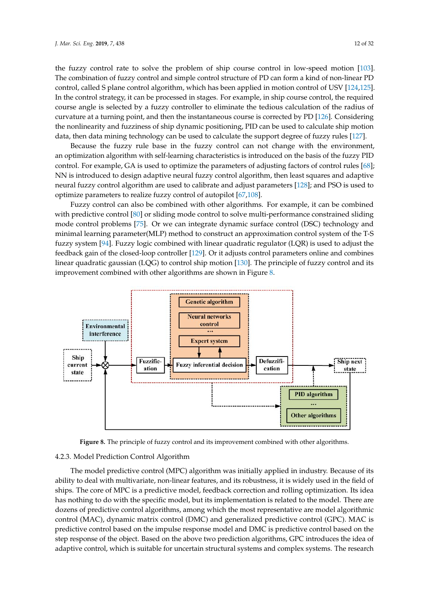the fuzzy control rate to solve the problem of ship course control in low-speed motion [\[103\]](#page-25-11). The combination of fuzzy control and simple control structure of PD can form a kind of non-linear PD control, called S plane control algorithm, which has been applied in motion control of USV [\[124,](#page-26-10)[125\]](#page-26-11). In the control strategy, it can be processed in stages. For example, in ship course control, the required course angle is selected by a fuzzy controller to eliminate the tedious calculation of the radius of curvature at a turning point, and then the instantaneous course is corrected by PD [\[126\]](#page-26-12). Considering the nonlinearity and fuzziness of ship dynamic positioning, PID can be used to calculate ship motion data, then data mining technology can be used to calculate the support degree of fuzzy rules [\[127\]](#page-26-13).

Because the fuzzy rule base in the fuzzy control can not change with the environment, an optimization algorithm with self-learning characteristics is introduced on the basis of the fuzzy PID control. For example, GA is used to optimize the parameters of adjusting factors of control rules [\[68\]](#page-24-1); NN is introduced to design adaptive neural fuzzy control algorithm, then least squares and adaptive neural fuzzy control algorithm are used to calibrate and adjust parameters [\[128\]](#page-26-14); and PSO is used to optimize parameters to realize fuzzy control of autopilot [\[67](#page-24-0)[,108\]](#page-25-15).

Fuzzy control can also be combined with other algorithms. For example, it can be combined with predictive control [\[80\]](#page-24-13) or sliding mode control to solve multi-performance constrained sliding mode control problems [\[75\]](#page-24-8). Or we can integrate dynamic surface control (DSC) technology and minimal learning parameter(MLP) method to construct an approximation control system of the T-S fuzzy system [\[94\]](#page-25-2). Fuzzy logic combined with linear quadratic regulator (LQR) is used to adjust the feedback gain of the closed-loop controller [\[129\]](#page-26-15). Or it adjusts control parameters online and combines linear quadratic gaussian (LQG) to control ship motion [\[130\]](#page-26-16). The principle of fuzzy control and its improvement combined with other algorithms are shown in Figure [8.](#page-11-0)

<span id="page-11-0"></span>

**Figure 8.** The principle of fuzzy control and its improvement combined with other algorithms.

#### 4.2.3. Model Prediction Control Algorithm

The model predictive control (MPC) algorithm was initially applied in industry. Because of its ability to deal with multivariate, non-linear features, and its robustness, it is widely used in the field of ships. The core of MPC is a predictive model, feedback correction and rolling optimization. Its idea has nothing to do with the specific model, but its implementation is related to the model. There are dozens of predictive control algorithms, among which the most representative are model algorithmic control (MAC), dynamic matrix control (DMC) and generalized predictive control (GPC). MAC is predictive control based on the impulse response model and DMC is predictive control based on the step response of the object. Based on the above two prediction algorithms, GPC introduces the idea of adaptive control, which is suitable for uncertain structural systems and complex systems. The research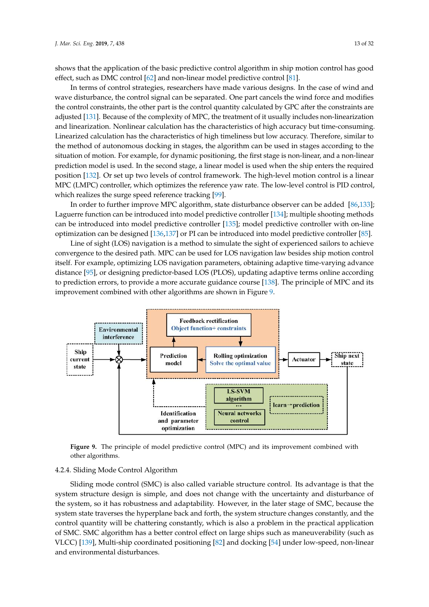shows that the application of the basic predictive control algorithm in ship motion control has good effect, such as DMC control [\[62\]](#page-23-14) and non-linear model predictive control [\[81\]](#page-24-14).

In terms of control strategies, researchers have made various designs. In the case of wind and wave disturbance, the control signal can be separated. One part cancels the wind force and modifies the control constraints, the other part is the control quantity calculated by GPC after the constraints are adjusted [\[131\]](#page-26-17). Because of the complexity of MPC, the treatment of it usually includes non-linearization and linearization. Nonlinear calculation has the characteristics of high accuracy but time-consuming. Linearized calculation has the characteristics of high timeliness but low accuracy. Therefore, similar to the method of autonomous docking in stages, the algorithm can be used in stages according to the situation of motion. For example, for dynamic positioning, the first stage is non-linear, and a non-linear prediction model is used. In the second stage, a linear model is used when the ship enters the required position [\[132\]](#page-26-18). Or set up two levels of control framework. The high-level motion control is a linear MPC (LMPC) controller, which optimizes the reference yaw rate. The low-level control is PID control, which realizes the surge speed reference tracking [\[99\]](#page-25-7).

In order to further improve MPC algorithm, state disturbance observer can be added [\[86,](#page-24-19)[133\]](#page-26-19); Laguerre function can be introduced into model predictive controller [\[134\]](#page-26-20); multiple shooting methods can be introduced into model predictive controller [\[135\]](#page-26-21); model predictive controller with on-line optimization can be designed [\[136,](#page-26-22)[137\]](#page-26-23) or PI can be introduced into model predictive controller [\[85\]](#page-24-18).

Line of sight (LOS) navigation is a method to simulate the sight of experienced sailors to achieve convergence to the desired path. MPC can be used for LOS navigation law besides ship motion control itself. For example, optimizing LOS navigation parameters, obtaining adaptive time-varying advance distance [\[95\]](#page-25-3), or designing predictor-based LOS (PLOS), updating adaptive terms online according to prediction errors, to provide a more accurate guidance course [\[138\]](#page-27-0). The principle of MPC and its improvement combined with other algorithms are shown in Figure [9.](#page-12-0)

<span id="page-12-0"></span>

**Figure 9.** The principle of model predictive control (MPC) and its improvement combined with other algorithms.

# 4.2.4. Sliding Mode Control Algorithm

Sliding mode control (SMC) is also called variable structure control. Its advantage is that the system structure design is simple, and does not change with the uncertainty and disturbance of the system, so it has robustness and adaptability. However, in the later stage of SMC, because the system state traverses the hyperplane back and forth, the system structure changes constantly, and the control quantity will be chattering constantly, which is also a problem in the practical application of SMC. SMC algorithm has a better control effect on large ships such as maneuverability (such as VLCC) [\[139\]](#page-27-1), Multi-ship coordinated positioning [\[82\]](#page-24-15) and docking [\[54\]](#page-23-19) under low-speed, non-linear and environmental disturbances.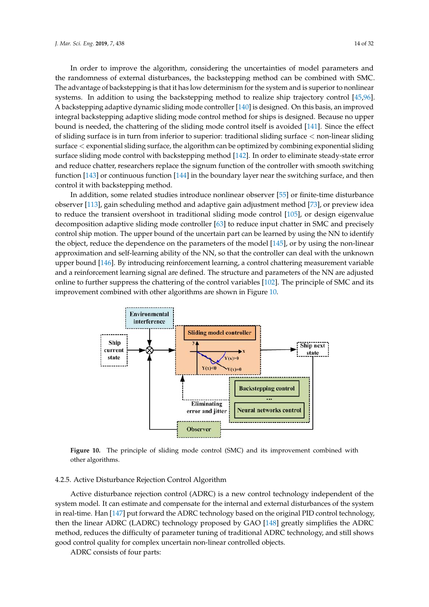In order to improve the algorithm, considering the uncertainties of model parameters and the randomness of external disturbances, the backstepping method can be combined with SMC. The advantage of backstepping is that it has low determinism for the system and is superior to nonlinear systems. In addition to using the backstepping method to realize ship trajectory control [\[45,](#page-23-0)[96\]](#page-25-4). A backstepping adaptive dynamic sliding mode controller [\[140\]](#page-27-2) is designed. On this basis, an improved integral backstepping adaptive sliding mode control method for ships is designed. Because no upper bound is needed, the chattering of the sliding mode control itself is avoided [\[141\]](#page-27-3). Since the effect of sliding surface is in turn from inferior to superior: traditional sliding surface < non-linear sliding surface < exponential sliding surface, the algorithm can be optimized by combining exponential sliding surface sliding mode control with backstepping method [\[142\]](#page-27-4). In order to eliminate steady-state error and reduce chatter, researchers replace the signum function of the controller with smooth switching function [\[143\]](#page-27-5) or continuous function [\[144\]](#page-27-6) in the boundary layer near the switching surface, and then control it with backstepping method.

In addition, some related studies introduce nonlinear observer [\[55\]](#page-23-20) or finite-time disturbance observer [\[113\]](#page-25-21), gain scheduling method and adaptive gain adjustment method [\[73\]](#page-24-6), or preview idea to reduce the transient overshoot in traditional sliding mode control [\[105\]](#page-25-12), or design eigenvalue decomposition adaptive sliding mode controller [\[63\]](#page-23-15) to reduce input chatter in SMC and precisely control ship motion. The upper bound of the uncertain part can be learned by using the NN to identify the object, reduce the dependence on the parameters of the model [\[145\]](#page-27-7), or by using the non-linear approximation and self-learning ability of the NN, so that the controller can deal with the unknown upper bound [\[146\]](#page-27-8). By introducing reinforcement learning, a control chattering measurement variable and a reinforcement learning signal are defined. The structure and parameters of the NN are adjusted online to further suppress the chattering of the control variables [\[102\]](#page-25-10). The principle of SMC and its improvement combined with other algorithms are shown in Figure [10.](#page-13-0)

<span id="page-13-0"></span>

**Figure 10.** The principle of sliding mode control (SMC) and its improvement combined with other algorithms.

#### 4.2.5. Active Disturbance Rejection Control Algorithm

Active disturbance rejection control (ADRC) is a new control technology independent of the system model. It can estimate and compensate for the internal and external disturbances of the system in real-time. Han [\[147\]](#page-27-9) put forward the ADRC technology based on the original PID control technology, then the linear ADRC (LADRC) technology proposed by GAO [\[148\]](#page-27-10) greatly simplifies the ADRC method, reduces the difficulty of parameter tuning of traditional ADRC technology, and still shows good control quality for complex uncertain non-linear controlled objects.

ADRC consists of four parts: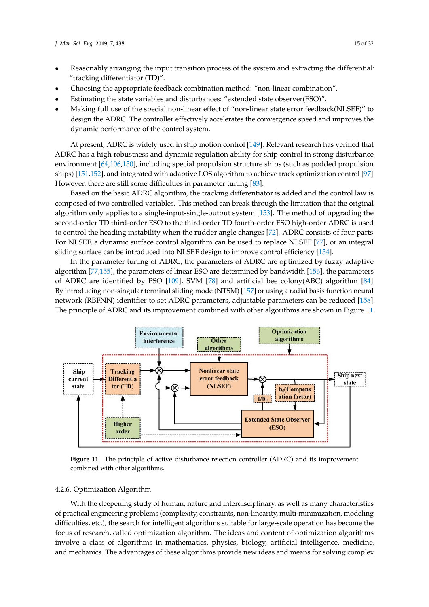- Reasonably arranging the input transition process of the system and extracting the differential: "tracking differentiator (TD)".
- Choosing the appropriate feedback combination method: "non-linear combination".
- Estimating the state variables and disturbances: "extended state observer(ESO)".
- Making full use of the special non-linear effect of "non-linear state error feedback(NLSEF)" to design the ADRC. The controller effectively accelerates the convergence speed and improves the dynamic performance of the control system.

At present, ADRC is widely used in ship motion control [\[149\]](#page-27-11). Relevant research has verified that ADRC has a high robustness and dynamic regulation ability for ship control in strong disturbance environment [\[64,](#page-23-16)[106,](#page-25-13)[150\]](#page-27-12), including special propulsion structure ships (such as podded propulsion ships) [\[151](#page-27-13)[,152\]](#page-27-14), and integrated with adaptive LOS algorithm to achieve track optimization control [\[97\]](#page-25-5). However, there are still some difficulties in parameter tuning [\[83\]](#page-24-16).

Based on the basic ADRC algorithm, the tracking differentiator is added and the control law is composed of two controlled variables. This method can break through the limitation that the original algorithm only applies to a single-input-single-output system [\[153\]](#page-27-15). The method of upgrading the second-order TD third-order ESO to the third-order TD fourth-order ESO high-order ADRC is used to control the heading instability when the rudder angle changes [\[72\]](#page-24-5). ADRC consists of four parts. For NLSEF, a dynamic surface control algorithm can be used to replace NLSEF [\[77\]](#page-24-10), or an integral sliding surface can be introduced into NLSEF design to improve control efficiency [\[154\]](#page-27-16).

In the parameter tuning of ADRC, the parameters of ADRC are optimized by fuzzy adaptive algorithm [\[77](#page-24-10)[,155\]](#page-27-17), the parameters of linear ESO are determined by bandwidth [\[156\]](#page-27-18), the parameters of ADRC are identified by PSO [\[109\]](#page-25-16), SVM [\[78\]](#page-24-11) and artificial bee colony(ABC) algorithm [\[84\]](#page-24-17). By introducing non-singular terminal sliding mode (NTSM) [\[157\]](#page-27-19) or using a radial basis function neural network (RBFNN) identifier to set ADRC parameters, adjustable parameters can be reduced [\[158\]](#page-27-20). The principle of ADRC and its improvement combined with other algorithms are shown in Figure [11.](#page-14-0)

<span id="page-14-0"></span>

**Figure 11.** The principle of active disturbance rejection controller (ADRC) and its improvement combined with other algorithms.

#### 4.2.6. Optimization Algorithm

With the deepening study of human, nature and interdisciplinary, as well as many characteristics of practical engineering problems (complexity, constraints, non-linearity, multi-minimization, modeling difficulties, etc.), the search for intelligent algorithms suitable for large-scale operation has become the focus of research, called optimization algorithm. The ideas and content of optimization algorithms involve a class of algorithms in mathematics, physics, biology, artificial intelligence, medicine, and mechanics. The advantages of these algorithms provide new ideas and means for solving complex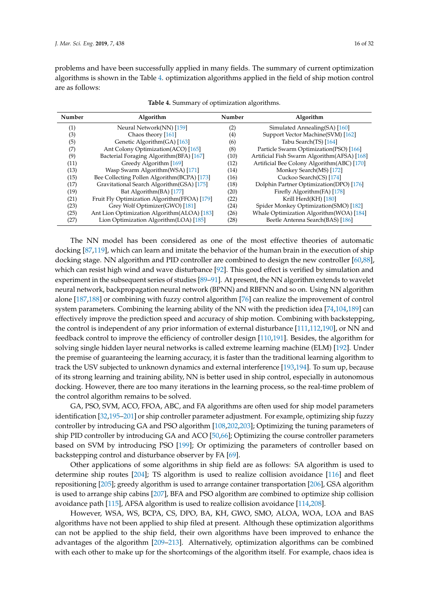problems and have been successfully applied in many fields. The summary of current optimization algorithms is shown in the Table [4.](#page-15-0) optimization algorithms applied in the field of ship motion control are as follows:

<span id="page-15-0"></span>

| Number | Algorithm                                     | Number            | Algorithm                                   |
|--------|-----------------------------------------------|-------------------|---------------------------------------------|
| (1)    | Neural Network(NN) [159]                      | $\left( 2\right)$ | Simulated Annealing(SA) [160]               |
| (3)    | Chaos theory [161]                            | $\left( 4\right)$ | Support Vector Machine(SVM) [162]           |
| (5)    | Genetic Algorithm (GA) [163]                  | (6)               | Tabu Search(TS) [164]                       |
| (7)    | Ant Colony Optimization (ACO) [165]           | (8)               | Particle Swarm Optimization(PSO) [166]      |
| (9)    | Bacterial Foraging Algorithm(BFA) [167]       | (10)              | Artificial Fish Swarm Algorithm(AFSA) [168] |
| (11)   | Greedy Algorithm [169]                        | (12)              | Artificial Bee Colony Algorithm (ABC) [170] |
| (13)   | Wasp Swarm Algorithm(WSA) [171]               | (14)              | Monkey Search(MS) [172]                     |
| (15)   | Bee Collecting Pollen Algorithm (BCPA) [173]  | (16)              | Cuckoo Search(CS) [174]                     |
| (17)   | Gravitational Search Algorithm(GSA) [175]     | (18)              | Dolphin Partner Optimization(DPO) [176]     |
| (19)   | Bat Algorithm(BA) [177]                       | (20)              | Firefly Algorithm (FA) [178]                |
| (21)   | Fruit Fly Optimization Algorithm (FFOA) [179] | (22)              | Krill Herd(KH) [180]                        |
| (23)   | Grey Wolf Optimizer(GWO) [181]                | (24)              | Spider Monkey Optimization(SMO) [182]       |
| (25)   | Ant Lion Optimization Algorithm (ALOA) [183]  | (26)              | Whale Optimization Algorithm (WOA) [184]    |
| (27)   | Lion Optimization Algorithm(LOA) [185]        | (28)              | Beetle Antenna Search(BAS) [186]            |

**Table 4.** Summary of optimization algorithms.

The NN model has been considered as one of the most effective theories of automatic docking [\[87,](#page-24-20)[119\]](#page-26-5), which can learn and imitate the behavior of the human brain in the execution of ship docking stage. NN algorithm and PID controller are combined to design the new controller [\[60,](#page-23-12)[88\]](#page-24-21), which can resist high wind and wave disturbance [\[92\]](#page-25-0). This good effect is verified by simulation and experiment in the subsequent series of studies [\[89–](#page-24-22)[91\]](#page-25-22). At present, the NN algorithm extends to wavelet neural network, backpropagation neural network (BPNN) and RBFNN and so on. Using NN algorithm alone [\[187,](#page-28-22)[188\]](#page-28-23) or combining with fuzzy control algorithm [\[76\]](#page-24-9) can realize the improvement of control system parameters. Combining the learning ability of the NN with the prediction idea [\[74](#page-24-7)[,104,](#page-25-17)[189\]](#page-28-24) can effectively improve the prediction speed and accuracy of ship motion. Combining with backstepping, the control is independent of any prior information of external disturbance [\[111,](#page-25-19)[112,](#page-25-20)[190\]](#page-28-25), or NN and feedback control to improve the efficiency of controller design [\[110](#page-25-18)[,191\]](#page-28-26). Besides, the algorithm for solving single hidden layer neural networks is called extreme learning machine (ELM) [\[192\]](#page-29-0). Under the premise of guaranteeing the learning accuracy, it is faster than the traditional learning algorithm to track the USV subjected to unknown dynamics and external interference [\[193](#page-29-1)[,194\]](#page-29-2). To sum up, because of its strong learning and training ability, NN is better used in ship control, especially in autonomous docking. However, there are too many iterations in the learning process, so the real-time problem of the control algorithm remains to be solved.

GA, PSO, SVM, ACO, FFOA, ABC, and FA algorithms are often used for ship model parameters identification [\[32,](#page-22-13)[195](#page-29-3)[–201\]](#page-29-4) or ship controller parameter adjustment. For example, optimizing ship fuzzy controller by introducing GA and PSO algorithm [\[108](#page-25-15)[,202](#page-29-5)[,203\]](#page-29-6); Optimizing the tuning parameters of ship PID controller by introducing GA and ACO [\[50,](#page-23-5)[66\]](#page-23-18); Optimizing the course controller parameters based on SVM by introducing PSO [\[199\]](#page-29-7); Or optimizing the parameters of controller based on backstepping control and disturbance observer by FA [\[69\]](#page-24-2).

Other applications of some algorithms in ship field are as follows: SA algorithm is used to determine ship routes [\[204\]](#page-29-8); TS algorithm is used to realize collision avoidance [\[116\]](#page-26-2) and fleet repositioning [\[205\]](#page-29-9); greedy algorithm is used to arrange container transportation [\[206\]](#page-29-10), GSA algorithm is used to arrange ship cabins [\[207\]](#page-29-11), BFA and PSO algorithm are combined to optimize ship collision avoidance path [\[115\]](#page-26-1), AFSA algorithm is used to realize collision avoidance [\[114](#page-26-0)[,208\]](#page-29-12).

However, WSA, WS, BCPA, CS, DPO, BA, KH, GWO, SMO, ALOA, WOA, LOA and BAS algorithms have not been applied to ship filed at present. Although these optimization algorithms can not be applied to the ship field, their own algorithms have been improved to enhance the advantages of the algorithm [\[209–](#page-29-13)[213\]](#page-29-14). Alternatively, optimization algorithms can be combined with each other to make up for the shortcomings of the algorithm itself. For example, chaos idea is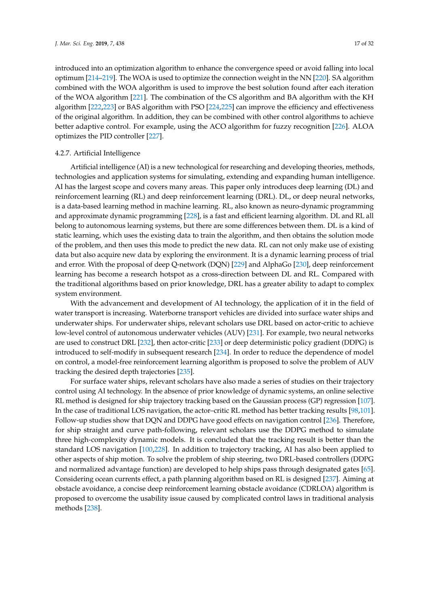introduced into an optimization algorithm to enhance the convergence speed or avoid falling into local optimum [\[214](#page-29-15)[–219\]](#page-30-0). The WOA is used to optimize the connection weight in the NN [\[220\]](#page-30-1). SA algorithm combined with the WOA algorithm is used to improve the best solution found after each iteration of the WOA algorithm [\[221\]](#page-30-2). The combination of the CS algorithm and BA algorithm with the KH algorithm [\[222](#page-30-3)[,223\]](#page-30-4) or BAS algorithm with PSO [\[224,](#page-30-5)[225\]](#page-30-6) can improve the efficiency and effectiveness of the original algorithm. In addition, they can be combined with other control algorithms to achieve better adaptive control. For example, using the ACO algorithm for fuzzy recognition [\[226\]](#page-30-7). ALOA optimizes the PID controller [\[227\]](#page-30-8).

#### 4.2.7. Artificial Intelligence

Artificial intelligence (AI) is a new technological for researching and developing theories, methods, technologies and application systems for simulating, extending and expanding human intelligence. AI has the largest scope and covers many areas. This paper only introduces deep learning (DL) and reinforcement learning (RL) and deep reinforcement learning (DRL). DL, or deep neural networks, is a data-based learning method in machine learning. RL, also known as neuro-dynamic programming and approximate dynamic programming [\[228\]](#page-30-9), is a fast and efficient learning algorithm. DL and RL all belong to autonomous learning systems, but there are some differences between them. DL is a kind of static learning, which uses the existing data to train the algorithm, and then obtains the solution mode of the problem, and then uses this mode to predict the new data. RL can not only make use of existing data but also acquire new data by exploring the environment. It is a dynamic learning process of trial and error. With the proposal of deep Q-network (DQN) [\[229\]](#page-30-10) and AlphaGo [\[230\]](#page-30-11), deep reinforcement learning has become a research hotspot as a cross-direction between DL and RL. Compared with the traditional algorithms based on prior knowledge, DRL has a greater ability to adapt to complex system environment.

With the advancement and development of AI technology, the application of it in the field of water transport is increasing. Waterborne transport vehicles are divided into surface water ships and underwater ships. For underwater ships, relevant scholars use DRL based on actor-critic to achieve low-level control of autonomous underwater vehicles (AUV) [\[231\]](#page-30-12). For example, two neural networks are used to construct DRL [\[232\]](#page-30-13), then actor-critic [\[233\]](#page-30-14) or deep deterministic policy gradient (DDPG) is introduced to self-modify in subsequent research [\[234\]](#page-30-15). In order to reduce the dependence of model on control, a model-free reinforcement learning algorithm is proposed to solve the problem of AUV tracking the desired depth trajectories [\[235\]](#page-30-16).

For surface water ships, relevant scholars have also made a series of studies on their trajectory control using AI technology. In the absence of prior knowledge of dynamic systems, an online selective RL method is designed for ship trajectory tracking based on the Gaussian process (GP) regression [\[107\]](#page-25-14). In the case of traditional LOS navigation, the actor–critic RL method has better tracking results [\[98](#page-25-6)[,101\]](#page-25-9). Follow-up studies show that DQN and DDPG have good effects on navigation control [\[236\]](#page-30-17). Therefore, for ship straight and curve path-following, relevant scholars use the DDPG method to simulate three high-complexity dynamic models. It is concluded that the tracking result is better than the standard LOS navigation [\[100](#page-25-8)[,228\]](#page-30-9). In addition to trajectory tracking, AI has also been applied to other aspects of ship motion. To solve the problem of ship steering, two DRL-based controllers (DDPG and normalized advantage function) are developed to help ships pass through designated gates [\[65\]](#page-23-17). Considering ocean currents effect, a path planning algorithm based on RL is designed [\[237\]](#page-30-18). Aiming at obstacle avoidance, a concise deep reinforcement learning obstacle avoidance (CDRLOA) algorithm is proposed to overcome the usability issue caused by complicated control laws in traditional analysis methods [\[238\]](#page-30-19).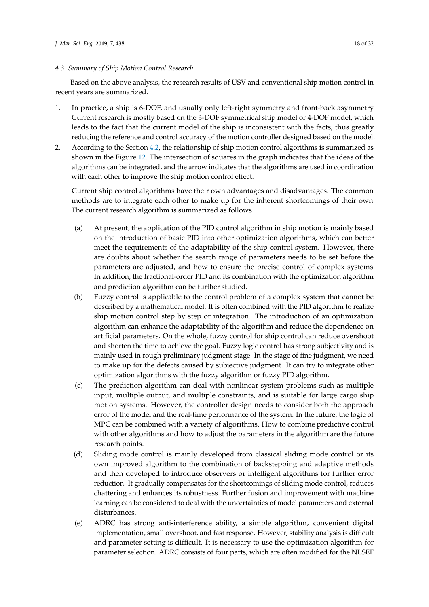#### *4.3. Summary of Ship Motion Control Research*

Based on the above analysis, the research results of USV and conventional ship motion control in recent years are summarized.

- 1. In practice, a ship is 6-DOF, and usually only left-right symmetry and front-back asymmetry. Current research is mostly based on the 3-DOF symmetrical ship model or 4-DOF model, which leads to the fact that the current model of the ship is inconsistent with the facts, thus greatly reducing the reference and control accuracy of the motion controller designed based on the model.
- 2. According to the Section [4.2,](#page-9-0) the relationship of ship motion control algorithms is summarized as shown in the Figure [12.](#page-18-0) The intersection of squares in the graph indicates that the ideas of the algorithms can be integrated, and the arrow indicates that the algorithms are used in coordination with each other to improve the ship motion control effect.

Current ship control algorithms have their own advantages and disadvantages. The common methods are to integrate each other to make up for the inherent shortcomings of their own. The current research algorithm is summarized as follows.

- (a) At present, the application of the PID control algorithm in ship motion is mainly based on the introduction of basic PID into other optimization algorithms, which can better meet the requirements of the adaptability of the ship control system. However, there are doubts about whether the search range of parameters needs to be set before the parameters are adjusted, and how to ensure the precise control of complex systems. In addition, the fractional-order PID and its combination with the optimization algorithm and prediction algorithm can be further studied.
- (b) Fuzzy control is applicable to the control problem of a complex system that cannot be described by a mathematical model. It is often combined with the PID algorithm to realize ship motion control step by step or integration. The introduction of an optimization algorithm can enhance the adaptability of the algorithm and reduce the dependence on artificial parameters. On the whole, fuzzy control for ship control can reduce overshoot and shorten the time to achieve the goal. Fuzzy logic control has strong subjectivity and is mainly used in rough preliminary judgment stage. In the stage of fine judgment, we need to make up for the defects caused by subjective judgment. It can try to integrate other optimization algorithms with the fuzzy algorithm or fuzzy PID algorithm.
- (c) The prediction algorithm can deal with nonlinear system problems such as multiple input, multiple output, and multiple constraints, and is suitable for large cargo ship motion systems. However, the controller design needs to consider both the approach error of the model and the real-time performance of the system. In the future, the logic of MPC can be combined with a variety of algorithms. How to combine predictive control with other algorithms and how to adjust the parameters in the algorithm are the future research points.
- (d) Sliding mode control is mainly developed from classical sliding mode control or its own improved algorithm to the combination of backstepping and adaptive methods and then developed to introduce observers or intelligent algorithms for further error reduction. It gradually compensates for the shortcomings of sliding mode control, reduces chattering and enhances its robustness. Further fusion and improvement with machine learning can be considered to deal with the uncertainties of model parameters and external disturbances.
- (e) ADRC has strong anti-interference ability, a simple algorithm, convenient digital implementation, small overshoot, and fast response. However, stability analysis is difficult and parameter setting is difficult. It is necessary to use the optimization algorithm for parameter selection. ADRC consists of four parts, which are often modified for the NLSEF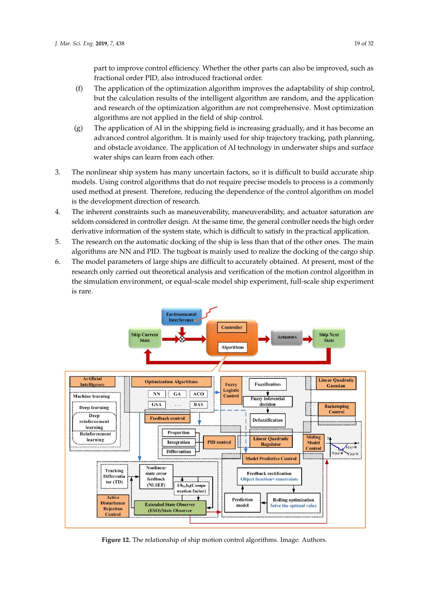part to improve control efficiency. Whether the other parts can also be improved, such as fractional order PID, also introduced fractional order.

- (f) The application of the optimization algorithm improves the adaptability of ship control, but the calculation results of the intelligent algorithm are random, and the application and research of the optimization algorithm are not comprehensive. Most optimization algorithms are not applied in the field of ship control.
- (g) The application of AI in the shipping field is increasing gradually, and it has become an advanced control algorithm. It is mainly used for ship trajectory tracking, path planning, and obstacle avoidance. The application of AI technology in underwater ships and surface water ships can learn from each other.
- 3. The nonlinear ship system has many uncertain factors, so it is difficult to build accurate ship models. Using control algorithms that do not require precise models to process is a commonly used method at present. Therefore, reducing the dependence of the control algorithm on model is the development direction of research.
- 4. The inherent constraints such as maneuverability, maneuverability, and actuator saturation are seldom considered in controller design. At the same time, the general controller needs the high order derivative information of the system state, which is difficult to satisfy in the practical application.
- 5. The research on the automatic docking of the ship is less than that of the other ones. The main algorithms are NN and PID. The tugboat is mainly used to realize the docking of the cargo ship.
- 6. The model parameters of large ships are difficult to accurately obtained. At present, most of the research only carried out theoretical analysis and verification of the motion control algorithm in the simulation environment, or equal-scale model ship experiment, full-scale ship experiment is rare.

<span id="page-18-0"></span>

**Figure 12.** The relationship of ship motion control algorithms. Image: Authors.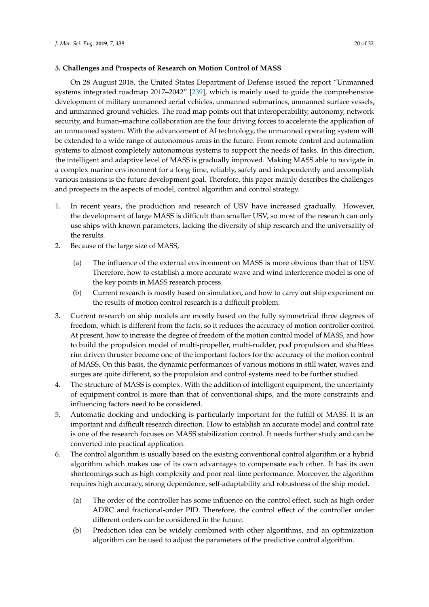## <span id="page-19-0"></span>**5. Challenges and Prospects of Research on Motion Control of MASS**

On 28 August 2018, the United States Department of Defense issued the report "Unmanned systems integrated roadmap 2017–2042" [\[239\]](#page-31-0), which is mainly used to guide the comprehensive development of military unmanned aerial vehicles, unmanned submarines, unmanned surface vessels, and unmanned ground vehicles. The road map points out that interoperability, autonomy, network security, and human–machine collaboration are the four driving forces to accelerate the application of an unmanned system. With the advancement of AI technology, the unmanned operating system will be extended to a wide range of autonomous areas in the future. From remote control and automation systems to almost completely autonomous systems to support the needs of tasks. In this direction, the intelligent and adaptive level of MASS is gradually improved. Making MASS able to navigate in a complex marine environment for a long time, reliably, safely and independently and accomplish various missions is the future development goal. Therefore, this paper mainly describes the challenges and prospects in the aspects of model, control algorithm and control strategy.

- 1. In recent years, the production and research of USV have increased gradually. However, the development of large MASS is difficult than smaller USV, so most of the research can only use ships with known parameters, lacking the diversity of ship research and the universality of the results.
- 2. Because of the large size of MASS,
	- (a) The influence of the external environment on MASS is more obvious than that of USV. Therefore, how to establish a more accurate wave and wind interference model is one of the key points in MASS research process.
	- (b) Current research is mostly based on simulation, and how to carry out ship experiment on the results of motion control research is a difficult problem.
- 3. Current research on ship models are mostly based on the fully symmetrical three degrees of freedom, which is different from the facts, so it reduces the accuracy of motion controller control. At present, how to increase the degree of freedom of the motion control model of MASS, and how to build the propulsion model of multi-propeller, multi-rudder, pod propulsion and shaftless rim driven thruster become one of the important factors for the accuracy of the motion control of MASS. On this basis, the dynamic performances of various motions in still water, waves and surges are quite different, so the propulsion and control systems need to be further studied.
- 4. The structure of MASS is complex. With the addition of intelligent equipment, the uncertainty of equipment control is more than that of conventional ships, and the more constraints and influencing factors need to be considered.
- 5. Automatic docking and undocking is particularly important for the fulfill of MASS. It is an important and difficult research direction. How to establish an accurate model and control rate is one of the research focuses on MASS stabilization control. It needs further study and can be converted into practical application.
- 6. The control algorithm is usually based on the existing conventional control algorithm or a hybrid algorithm which makes use of its own advantages to compensate each other. It has its own shortcomings such as high complexity and poor real-time performance. Moreover, the algorithm requires high accuracy, strong dependence, self-adaptability and robustness of the ship model.
	- (a) The order of the controller has some influence on the control effect, such as high order ADRC and fractional-order PID. Therefore, the control effect of the controller under different orders can be considered in the future.
	- (b) Prediction idea can be widely combined with other algorithms, and an optimization algorithm can be used to adjust the parameters of the predictive control algorithm.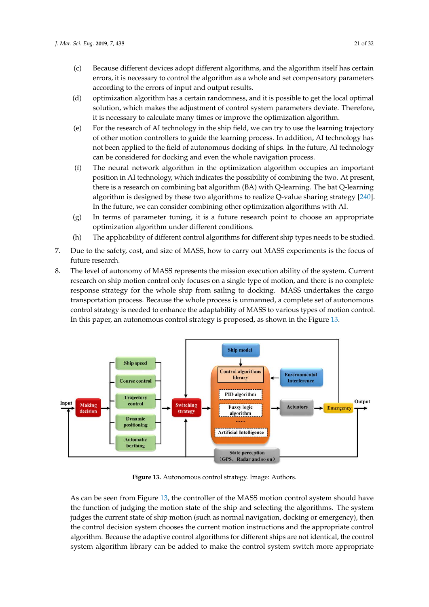- (c) Because different devices adopt different algorithms, and the algorithm itself has certain errors, it is necessary to control the algorithm as a whole and set compensatory parameters according to the errors of input and output results.
- (d) optimization algorithm has a certain randomness, and it is possible to get the local optimal solution, which makes the adjustment of control system parameters deviate. Therefore, it is necessary to calculate many times or improve the optimization algorithm.
- (e) For the research of AI technology in the ship field, we can try to use the learning trajectory of other motion controllers to guide the learning process. In addition, AI technology has not been applied to the field of autonomous docking of ships. In the future, AI technology can be considered for docking and even the whole navigation process.
- (f) The neural network algorithm in the optimization algorithm occupies an important position in AI technology, which indicates the possibility of combining the two. At present, there is a research on combining bat algorithm (BA) with Q-learning. The bat Q-learning algorithm is designed by these two algorithms to realize Q-value sharing strategy [\[240\]](#page-31-1). In the future, we can consider combining other optimization algorithms with AI.
- (g) In terms of parameter tuning, it is a future research point to choose an appropriate optimization algorithm under different conditions.
- (h) The applicability of different control algorithms for different ship types needs to be studied.
- 7. Due to the safety, cost, and size of MASS, how to carry out MASS experiments is the focus of future research.
- 8. The level of autonomy of MASS represents the mission execution ability of the system. Current research on ship motion control only focuses on a single type of motion, and there is no complete response strategy for the whole ship from sailing to docking. MASS undertakes the cargo transportation process. Because the whole process is unmanned, a complete set of autonomous control strategy is needed to enhance the adaptability of MASS to various types of motion control. In this paper, an autonomous control strategy is proposed, as shown in the Figure [13.](#page-20-0)

<span id="page-20-0"></span>

**Figure 13.** Autonomous control strategy. Image: Authors.

As can be seen from Figure [13,](#page-20-0) the controller of the MASS motion control system should have the function of judging the motion state of the ship and selecting the algorithms. The system judges the current state of ship motion (such as normal navigation, docking or emergency), then the control decision system chooses the current motion instructions and the appropriate control algorithm. Because the adaptive control algorithms for different ships are not identical, the control system algorithm library can be added to make the control system switch more appropriate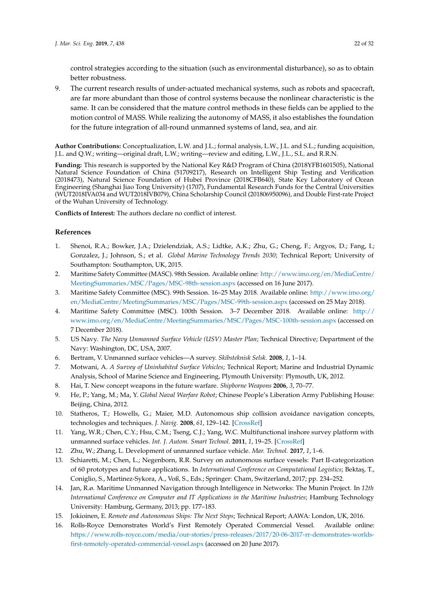control strategies according to the situation (such as environmental disturbance), so as to obtain better robustness.

9. The current research results of under-actuated mechanical systems, such as robots and spacecraft, are far more abundant than those of control systems because the nonlinear characteristic is the same. It can be considered that the mature control methods in these fields can be applied to the motion control of MASS. While realizing the autonomy of MASS, it also establishes the foundation for the future integration of all-round unmanned systems of land, sea, and air.

**Author Contributions:** Conceptualization, L.W. and J.L.; formal analysis, L.W., J.L. and S.L.; funding acquisition, J.L. and Q.W.; writing—original draft, L.W.; writing—review and editing, L.W., J.L., S.L. and R.R.N.

**Funding:** This research is supported by the National Key R&D Program of China (2018YFB1601505), National Natural Science Foundation of China (51709217), Research on Intelligent Ship Testing and Verification (2018473), Natural Science Foundation of Hubei Province (2018CFB640), State Key Laboratory of Ocean Engineering (Shanghai Jiao Tong University) (1707), Fundamental Research Funds for the Central Universities (WUT2018IVA034 and WUT2018IVB079), China Scholarship Council (201806950096), and Double First-rate Project of the Wuhan University of Technology.

**Conflicts of Interest:** The authors declare no conflict of interest.

#### **References**

- <span id="page-21-0"></span>1. Shenoi, R.A.; Bowker, J.A.; Dzielendziak, A.S.; Lidtke, A.K.; Zhu, G.; Cheng, F.; Argyos, D.; Fang, I.; Gonzalez, J.; Johnson, S.; et al. *Global Marine Technology Trends 2030*; Technical Report; University of Southampton: Southampton, UK, 2015.
- <span id="page-21-1"></span>2. Maritime Safety Committee (MASC). 98th Session. Available online: [http://www.imo.org/en/MediaCentre/](http://www.imo.org/en/Media Centre/Meeting Summaries/MSC/Pages/MSC-98th-session.aspx) [MeetingSummaries/MSC/Pages/MSC-98th-session.aspx](http://www.imo.org/en/Media Centre/Meeting Summaries/MSC/Pages/MSC-98th-session.aspx) (accessed on 16 June 2017).
- <span id="page-21-2"></span>3. Maritime Safety Committee (MSC). 99th Session. 16–25 May 2018. Available online: [http://www.imo.org/]( http://www.imo.org/en/MediaCentre/MeetingSummaries/MSC/Pages/MSC-99th-session.aspx) [en/MediaCentre/MeetingSummaries/MSC/Pages/MSC-99th-session.aspx]( http://www.imo.org/en/MediaCentre/MeetingSummaries/MSC/Pages/MSC-99th-session.aspx) (accessed on 25 May 2018).
- <span id="page-21-3"></span>4. Maritime Safety Committee (MSC). 100th Session. 3–7 December 2018. Available online: [http://]( http://www.imo.org/en/MediaCentre/MeetingSummaries/MSC/Pages/MSC-100th-session.aspx) [www.imo.org/en/MediaCentre/MeetingSummaries/MSC/Pages/MSC-100th-session.aspx]( http://www.imo.org/en/MediaCentre/MeetingSummaries/MSC/Pages/MSC-100th-session.aspx) (accessed on 7 December 2018).
- <span id="page-21-4"></span>5. US Navy. *The Navy Unmanned Surface Vehicle (USV) Master Plan*; Technical Directive; Department of the Navy: Washington, DC, USA, 2007.
- <span id="page-21-5"></span>6. Bertram, V. Unmanned surface vehicles—A survey. *Skibsteknisk Selsk.* **2008**, *1*, 1–14.
- 7. Motwani, A. *A Survey of Uninhabited Surface Vehicles*; Technical Report; Marine and Industrial Dynamic Analysis, School of Marine Science and Engineering, Plymouth University: Plymouth, UK, 2012.
- 8. Hai, T. New concept weapons in the future warfare. *Shipborne Weapons* **2006**, *3*, 70–77.
- 9. He, P.; Yang, M.; Ma, Y. *Global Naval Warfare Robot*; Chinese People's Liberation Army Publishing House: Beijing, China, 2012.
- 10. Statheros, T.; Howells, G.; Maier, M.D. Autonomous ship collision avoidance navigation concepts, technologies and techniques. *J. Navig.* **2008**, *61*, 129–142. [\[CrossRef\]](http://dx.doi.org/10.1017/S037346330700447X)
- 11. Yang, W.R.; Chen, C.Y.; Hsu, C.M.; Tseng, C.J.; Yang, W.C. Multifunctional inshore survey platform with unmanned surface vehicles. *Int. J. Autom. Smart Technol.* **2011**, *1*, 19–25. [\[CrossRef\]](http://dx.doi.org/10.5875/ausmt.v1i2.122)
- 12. Zhu, W.; Zhang, L. Development of unmanned surface vehicle. *Mar. Technol.* **2017**, *1*, 1–6.
- <span id="page-21-6"></span>13. Schiaretti, M.; Chen, L.; Negenborn, R.R. Survey on autonomous surface vessels: Part II-categorization of 60 prototypes and future applications. In *International Conference on Computational Logistics*; Bektaş, T., Coniglio, S., Martinez-Sykora, A., Voß, S., Eds.; Springer: Cham, Switzerland, 2017; pp. 234–252.
- <span id="page-21-7"></span>14. Jan, R.ø. Maritime Unmanned Navigation through Intelligence in Networks: The Munin Project. In *12th International Conference on Computer and IT Applications in the Maritime Industries*; Hamburg Technology University: Hamburg, Germany, 2013; pp. 177–183.
- <span id="page-21-8"></span>15. Jokioinen, E. *Remote and Autonomous Ships: The Next Steps*; Technical Report; AAWA: London, UK, 2016.
- 16. Rolls-Royce Demonstrates World's First Remotely Operated Commercial Vessel. Available online: [https://www.rolls-royce.com/media/our-stories/press-releases/2017/20-06-2017-rr-demonstrates-worlds]( https://www.rolls-royce.com/media/our-stories/press-releases/2017/20-06-2017-rr-demonstrates-worlds-first-remotely-operated-commercial-vessel.aspx)[first-remotely-operated-commercial-vessel.aspx]( https://www.rolls-royce.com/media/our-stories/press-releases/2017/20-06-2017-rr-demonstrates-worlds-first-remotely-operated-commercial-vessel.aspx) (accessed on 20 June 2017).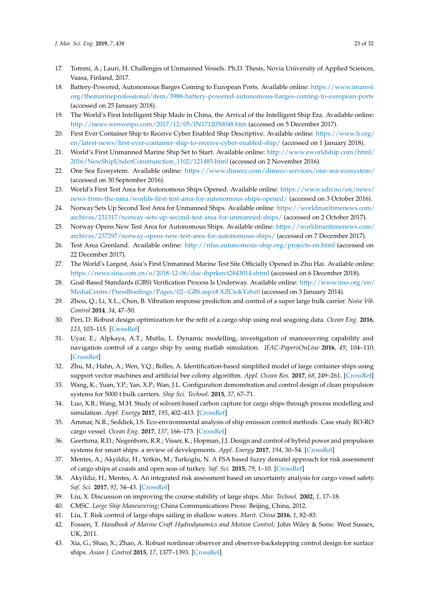- <span id="page-22-1"></span>17. Tommi, A.; Lauri, H. Challenges of Unmanned Vessels. Ph.D. Thesis, Novia University of Applied Sciences, Vaasa, Finland, 2017.
- <span id="page-22-2"></span>18. Battery-Powered, Autonomous Barges Coming to European Ports. Available online: [https://www.imarest.]( https://www.imarest.org/themarineprofessional/item/3988-battery-powered-autonomous-barges-coming-to-european-ports) [org/themarineprofessional/item/3988-battery-powered-autonomous-barges-coming-to-european-ports]( https://www.imarest.org/themarineprofessional/item/3988-battery-powered-autonomous-barges-coming-to-european-ports) (accessed on 25 January 2018).
- <span id="page-22-3"></span>19. The World's First Intelligent Ship Made in China, the Arrival of the Intelligent Ship Era. Available online: [http://news.wenweipo.com/2017/12/05/IN1712050048.htm]( http://news.wenweipo.com/2017/12/05/IN1712050048.htm) (accessed on 5 December 2017).
- <span id="page-22-4"></span>20. First Ever Container Ship to Receive Cyber Enabled Ship Descriptive. Available online: [https://www.lr.org/]( https://www.lr.org/en/latest-news/first-ever-container-ship-to-receive-cyber-enabled-ship/) [en/latest-news/first-ever-container-ship-to-receive-cyber-enabled-ship/]( https://www.lr.org/en/latest-news/first-ever-container-ship-to-receive-cyber-enabled-ship/) (accessed on 1 January 2018).
- <span id="page-22-0"></span>21. World's First Unmanned Marine Ship Set to Start. Available online: [http://www.eworldship.com/html/](http://www.eworldship.com/html/2016/NewShipUnderConstrunction_1102/121485.html) [2016/NewShipUnderConstrunction\\_1102/121485.html](http://www.eworldship.com/html/2016/NewShipUnderConstrunction_1102/121485.html) (accessed on 2 November 2016).
- <span id="page-22-5"></span>22. One Sea Ecosystem. Available online: [https://www.dimecc.com/dimecc-services/one-sea-ecosystem/]( https://www.dimecc.com/dimecc-services/one-sea-ecosystem/) (accessed on 30 September 2016).
- <span id="page-22-6"></span>23. World's First Test Area for Autonomous Ships Opened. Available online: [https://www.sdir.no/en/news/]( https://www.sdir.no/en/news/news-from-the-nma/worlds-first-test-area-for-autonomous-ships-opened/) [news-from-the-nma/worlds-first-test-area-for-autonomous-ships-opened/]( https://www.sdir.no/en/news/news-from-the-nma/worlds-first-test-area-for-autonomous-ships-opened/) (accessed on 3 October 2016).
- <span id="page-22-7"></span>24. Norway Sets Up Second Test Area for Unmanned Ships. Available online: [https://worldmaritimenews.com/](https://worldmaritimenews.com/archives/231317/norway-sets-up-second-test-area-for-unmanned-ships/) [archives/231317/norway-sets-up-second-test-area-for-unmanned-ships/](https://worldmaritimenews.com/archives/231317/norway-sets-up-second-test-area-for-unmanned-ships/) (accessed on 2 October 2017).
- <span id="page-22-8"></span>25. Norway Opens New Test Area for Autonomous Ships. Available online: [https://worldmaritimenews.com/]( https://worldmaritimenews.com/archives/237297/norway-opens-new-test-area-for-autonomous-ships/) [archives/237297/norway-opens-new-test-area-for-autonomous-ships/]( https://worldmaritimenews.com/archives/237297/norway-opens-new-test-area-for-autonomous-ships/) (accessed on 7 December 2017).
- <span id="page-22-9"></span>26. Test Area Grenland. Available online: [http://nfas.autonomous-ship.org/projects-en.html]( http://nfas.autonomous-ship.org/projects-en.html) (accessed on 22 December 2017).
- <span id="page-22-10"></span>27. The World's Largest, Asia's First Unmanned Marine Test Site Officially Opened in Zhu Hai. Available online: <https://news.sina.com.cn/o/2018-12-06/doc-ihprknvt2843014.shtml> (accessed on 6 December 2018).
- <span id="page-22-11"></span>28. Goal-Based Standards (GBS) Verification Process Is Underway. Available online: [http://www.imo.org/en/](http://www.imo.org/en/MediaCentre/PressBriefings/Pages/02--GBS.aspx#.XZCtokYzbz0) [MediaCentre/PressBriefings/Pages/02--GBS.aspx#.XZCtokYzbz0](http://www.imo.org/en/MediaCentre/PressBriefings/Pages/02--GBS.aspx#.XZCtokYzbz0) (accessed on 3 January 2014).
- <span id="page-22-12"></span>29. Zhou, Q.; Li, X.L.; Chen, B. Vibration response prediction and control of a super large bulk carrier. *Noise Vib. Control* **2014**, *34*, 47–50.
- 30. Peri, D. Robust design optimization for the refit of a cargo ship using real seagoing data. *Ocean Eng.* **2016**, *123*, 103–115. [\[CrossRef\]](http://dx.doi.org/10.1016/j.oceaneng.2016.06.029)
- 31. Uyar, E.; Alpkaya, A.T.; Mutlu, L. Dynamic modelling, investigation of manoeuvring capability and navigation control of a cargo ship by using matlab simulation. *IFAC-PapersOnLine* **2016**, *49*, 104–110. [\[CrossRef\]](http://dx.doi.org/10.1016/j.ifacol.2016.07.018)
- <span id="page-22-13"></span>32. Zhu, M.; Hahn, A.; Wen, Y.Q.; Bolles, A. Identification-based simplified model of large container ships using support vector machines and artificial bee colony algorithm. *Appl. Ocean Res.* **2017**, *68*, 249–261. [\[CrossRef\]](http://dx.doi.org/10.1016/j.apor.2017.09.006)
- <span id="page-22-14"></span>33. Wang, K.; Yuan, Y.P.; Yan, X.P.; Wan, J.L. Configuration demonstration and control design of clean propulsion systems for 5000 t bulk carriers. *Ship Sci. Technol.* **2015**, *37*, 67–71.
- 34. Luo, X.B.; Wang, M.H. Study of solvent-based carbon capture for cargo ships through process modelling and simulation. *Appl. Energy* **2017**, *195*, 402–413. [\[CrossRef\]](http://dx.doi.org/10.1016/j.apenergy.2017.03.027)
- 35. Ammar, N.R.; Seddiek, I.S. Eco-environmental analysis of ship emission control methods: Case study RO-RO cargo vessel. *Ocean Eng.* **2017**, *137*, 166–173. [\[CrossRef\]](http://dx.doi.org/10.1016/j.oceaneng.2017.03.052)
- <span id="page-22-15"></span>36. Geertsma, R.D.; Negenborn, R.R.; Visser, K.; Hopman, J.J. Design and control of hybrid power and propulsion systems for smart ships: a review of developments. *Appl. Energy* **2017**, *194*, 30–54. [\[CrossRef\]](http://dx.doi.org/10.1016/j.apenergy.2017.02.060)
- <span id="page-22-16"></span>37. Mentes, A.; Akyildiz, H.; Yetkin, M.; Turkoglu, N. A FSA based fuzzy dematel approach for risk assessment of cargo ships at coasts and open seas of turkey. *Saf. Sci.* **2015**, *79*, 1–10. [\[CrossRef\]](http://dx.doi.org/10.1016/j.ssci.2015.05.004)
- <span id="page-22-17"></span>38. Akyildiz, H.; Mentes, A. An integrated risk assessment based on uncertainty analysis for cargo vessel safety. *Saf. Sci.* **2017**, *92*, 34–43. [\[CrossRef\]](http://dx.doi.org/10.1016/j.ssci.2016.09.009)
- <span id="page-22-18"></span>39. Liu, X. Discussion on improving the course stability of large ships. *Mar. Technol.* **2002**, *1*, 17–18.
- <span id="page-22-19"></span>40. CMSC. *Large Ship Maneuvering*; China Communications Press: Beijing, China, 2012.
- <span id="page-22-20"></span>41. Liu, T. Risk control of large ships sailing in shallow waters. *Marit. China* **2016**, *1*, 82–83.
- <span id="page-22-21"></span>42. Fossen, T. *Handbook of Marine Craft Hydrodynamics and Motion Control*; John Wiley & Sons: West Sussex, UK, 2011.
- 43. Xia, G.; Shao, X.; Zhao, A. Robust nonlinear observer and observer-backstepping control design for surface ships. *Asian J. Control* **2015**, *17*, 1377–1393. [\[CrossRef\]](http://dx.doi.org/10.1002/asjc.1021)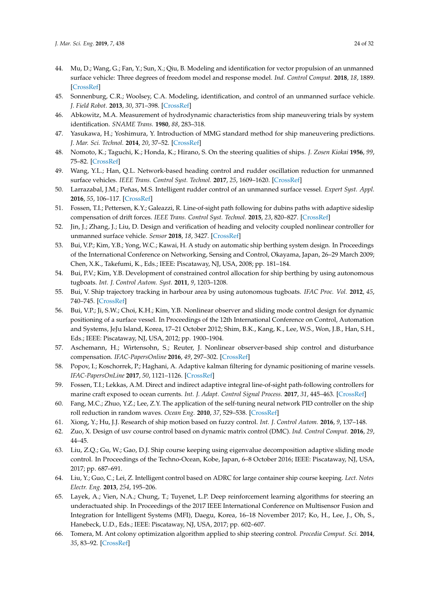- 44. Mu, D.; Wang, G.; Fan, Y.; Sun, X.; Qiu, B. Modeling and identification for vector propulsion of an unmanned surface vehicle: Three degrees of freedom model and response model. *Ind. Control Comput.* **2018**, *18*, 1889. [\[CrossRef\]](http://dx.doi.org/10.3390/s18061889)
- <span id="page-23-0"></span>45. Sonnenburg, C.R.; Woolsey, C.A. Modeling, identification, and control of an unmanned surface vehicle. *J. Field Robot.* **2013**, *30*, 371–398. [\[CrossRef\]](http://dx.doi.org/10.1002/rob.21452)
- <span id="page-23-1"></span>46. Abkowitz, M.A. Measurement of hydrodynamic characteristics from ship maneuvering trials by system identification. *SNAME Trans.* **1980**, *88*, 283–318.
- <span id="page-23-2"></span>47. Yasukawa, H.; Yoshimura, Y. Introduction of MMG standard method for ship maneuvering predictions. *J. Mar. Sci. Technol.* **2014**, *20*, 37–52. [\[CrossRef\]](http://dx.doi.org/10.1007/s00773-014-0293-y)
- <span id="page-23-3"></span>48. Nomoto, K.; Taguchi, K.; Honda, K.; Hirano, S. On the steering qualities of ships. *J. Zosen Kiokai* **1956**, *99*, 75–82. [\[CrossRef\]](http://dx.doi.org/10.2534/jjasnaoe1952.1956.99_75)
- <span id="page-23-4"></span>49. Wang, Y.L.; Han, Q.L. Network-based heading control and rudder oscillation reduction for unmanned surface vehicles. *IEEE Trans. Control Syst. Technol.* **2017**, *25*, 1609–1620. [\[CrossRef\]](http://dx.doi.org/10.1109/TCST.2016.2617321)
- <span id="page-23-5"></span>50. Larrazabal, J.M.; Peñas, M.S. Intelligent rudder control of an unmanned surface vessel. *Expert Syst. Appl.* **2016**, *55*, 106–117. [\[CrossRef\]](http://dx.doi.org/10.1016/j.eswa.2016.01.057)
- <span id="page-23-6"></span>51. Fossen, T.I.; Pettersen, K.Y.; Galeazzi, R. Line-of-sight path following for dubins paths with adaptive sideslip compensation of drift forces. *IEEE Trans. Control Syst. Technol.* **2015**, *23*, 820–827. [\[CrossRef\]](http://dx.doi.org/10.1109/TCST.2014.2338354)
- <span id="page-23-7"></span>52. Jin, J.; Zhang, J.; Liu, D. Design and verification of heading and velocity coupled nonlinear controller for unmanned surface vehicle. *Sensor* **2018**, *18*, 3427. [\[CrossRef\]](http://dx.doi.org/10.3390/s18103427)
- <span id="page-23-8"></span>53. Bui, V.P.; Kim, Y.B.; Yong, W.C.; Kawai, H. A study on automatic ship berthing system design. In Proceedings of the International Conference on Networking, Sensing and Control, Okayama, Japan, 26–29 March 2009; Chen, X.K., Takefumi, K., Eds.; IEEE: Piscataway, NJ, USA, 2008; pp. 181–184.
- <span id="page-23-19"></span>54. Bui, P.V.; Kim, Y.B. Development of constrained control allocation for ship berthing by using autonomous tugboats. *Int. J. Control Autom. Syst.* **2011**, *9*, 1203–1208.
- <span id="page-23-20"></span>55. Bui, V. Ship trajectory tracking in harbour area by using autonomous tugboats. *IFAC Proc. Vol.* **2012**, *45*, 740–745. [\[CrossRef\]](http://dx.doi.org/10.3182/20120620-3-DK-2025.00049)
- <span id="page-23-9"></span>56. Bui, V.P.; Ji, S.W.; Choi, K.H.; Kim, Y.B. Nonlinear observer and sliding mode control design for dynamic positioning of a surface vessel. In Proceedings of the 12th International Conference on Control, Automation and Systems, JeJu Island, Korea, 17–21 October 2012; Shim, B.K., Kang, K., Lee, W.S., Won, J.B., Han, S.H., Eds.; IEEE: Piscataway, NJ, USA, 2012; pp. 1900–1904.
- <span id="page-23-10"></span>57. Aschemann, H.; Wirtensohn, S.; Reuter, J. Nonlinear observer-based ship control and disturbance compensation. *IFAC-PapersOnline* **2016**, *49*, 297–302. [\[CrossRef\]](http://dx.doi.org/10.1016/j.ifacol.2016.10.358)
- 58. Popov, I.; Koschorrek, P.; Haghani, A. Adaptive kalman filtering for dynamic positioning of marine vessels. *IFAC-PapersOnLine* **2017**, *50*, 1121–1126. [\[CrossRef\]](http://dx.doi.org/10.1016/j.ifacol.2017.08.394)
- <span id="page-23-11"></span>59. Fossen, T.I.; Lekkas, A.M. Direct and indirect adaptive integral line-of-sight path-following controllers for marine craft exposed to ocean currents. *Int. J. Adapt. Control Signal Process.* **2017**, *31*, 445–463. [\[CrossRef\]](http://dx.doi.org/10.1002/acs.2550)
- <span id="page-23-12"></span>60. Fang, M.C.; Zhuo, Y.Z.; Lee, Z.Y. The application of the self-tuning neural network PID controller on the ship roll reduction in random waves. *Ocean Eng.* **2010**, *37*, 529–538. [\[CrossRef\]](http://dx.doi.org/10.1016/j.oceaneng.2010.02.013)
- <span id="page-23-13"></span>61. Xiong, Y.; Hu, J.J. Research of ship motion based on fuzzy control. *Int. J. Control Autom.* **2016**, *9*, 137–148.
- <span id="page-23-14"></span>62. Zuo, X. Design of usv course control based on dynamic matrix control (DMC). *Ind. Control Comput.* **2016**, *29*, 44–45.
- <span id="page-23-15"></span>63. Liu, Z.Q.; Gu, W.; Gao, D.J. Ship course keeping using eigenvalue decomposition adaptive sliding mode control. In Proceedings of the Techno-Ocean, Kobe, Japan, 6–8 October 2016; IEEE: Piscataway, NJ, USA, 2017; pp. 687–691.
- <span id="page-23-16"></span>64. Liu, Y.; Guo, C.; Lei, Z. Intelligent control based on ADRC for large container ship course keeping. *Lect. Notes Electr. Eng.* **2013**, *254*, 195–206.
- <span id="page-23-17"></span>65. Layek, A.; Vien, N.A.; Chung, T.; Tuyenet, L.P. Deep reinforcement learning algorithms for steering an underactuated ship. In Proceedings of the 2017 IEEE International Conference on Multisensor Fusion and Integration for Intelligent Systems (MFI), Daegu, Korea, 16–18 November 2017; Ko, H., Lee, J., Oh, S., Hanebeck, U.D., Eds.; IEEE: Piscataway, NJ, USA, 2017; pp. 602–607.
- <span id="page-23-18"></span>66. Tomera, M. Ant colony optimization algorithm applied to ship steering control. *Procedia Comput. Sci.* **2014**, *35*, 83–92. [\[CrossRef\]](http://dx.doi.org/10.1016/j.procs.2014.08.087)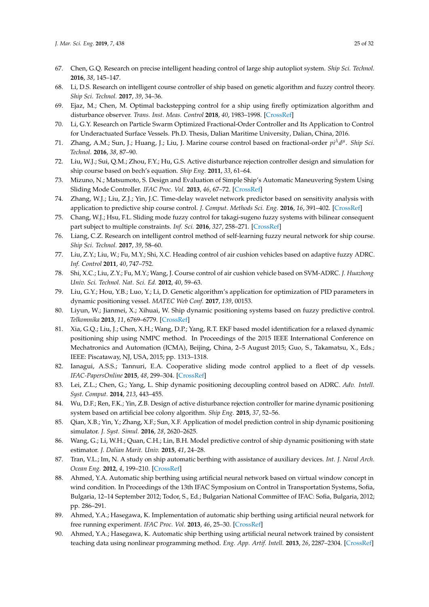- <span id="page-24-0"></span>67. Chen, G.Q. Research on precise intelligent heading control of large ship autopliot system. *Ship Sci. Technol.* **2016**, *38*, 145–147.
- <span id="page-24-1"></span>68. Li, D.S. Research on intelligent course controller of ship based on genetic algorithm and fuzzy control theory. *Ship Sci. Technol.* **2017**, *39*, 34–36.
- <span id="page-24-2"></span>69. Ejaz, M.; Chen, M. Optimal backstepping control for a ship using firefly optimization algorithm and disturbance observer. *Trans. Inst. Meas. Control* **2018**, *40*, 1983–1998. [\[CrossRef\]](http://dx.doi.org/10.1177/0142331217695388)
- <span id="page-24-3"></span>70. Li, G.Y. Research on Particle Swarm Optimized Fractional-Order Controller and Its Application to Control for Underactuated Surface Vessels. Ph.D. Thesis, Dalian Maritime University, Dalian, China, 2016.
- <span id="page-24-4"></span>71. Zhang, A.M.; Sun, J.; Huang, J.; Liu, J. Marine course control based on fractional-order *piλd µ* . *Ship Sci. Technol.* **2016**, *38*, 87–90.
- <span id="page-24-5"></span>72. Liu, W.J.; Sui, Q.M.; Zhou, F.Y.; Hu, G.S. Active disturbance rejection controller design and simulation for ship course based on bech's equation. *Ship Eng.* **2011**, *33*, 61–64.
- <span id="page-24-6"></span>73. Mizuno, N.; Matsumoto, S. Design and Evaluation of Simple Ship's Automatic Maneuvering System Using Sliding Mode Controller. *IFAC Proc. Vol.* **2013**, *46*, 67–72. [\[CrossRef\]](http://dx.doi.org/10.3182/20130918-4-JP-3022.00035)
- <span id="page-24-7"></span>74. Zhang, W.J.; Liu, Z.J.; Yin, J.C. Time-delay wavelet network predictor based on sensitivity analysis with application to predictive ship course control. *J. Comput. Methods Sci. Eng.* **2016**, *16*, 391–402. [\[CrossRef\]](http://dx.doi.org/10.3233/JCM-160626)
- <span id="page-24-8"></span>75. Chang, W.J.; Hsu, F.L. Sliding mode fuzzy control for takagi-sugeno fuzzy systems with bilinear consequent part subject to multiple constraints. *Inf. Sci.* **2016**, *327*, 258–271. [\[CrossRef\]](http://dx.doi.org/10.1016/j.ins.2015.08.026)
- <span id="page-24-9"></span>76. Liang, C.Z. Research on intelligent control method of self-learning fuzzy neural network for ship course. *Ship Sci. Technol.* **2017**, *39*, 58–60.
- <span id="page-24-10"></span>77. Liu, Z.Y.; Liu, W.; Fu, M.Y.; Shi, X.C. Heading control of air cushion vehicles based on adaptive fuzzy ADRC. *Inf. Control* **2011**, *40*, 747–752.
- <span id="page-24-11"></span>78. Shi, X.C.; Liu, Z.Y.; Fu, M.Y.; Wang, J. Course control of air cushion vehicle based on SVM-ADRC. *J. Huazhong Univ. Sci. Technol. Nat. Sci. Ed.* **2012**, *40*, 59–63.
- <span id="page-24-12"></span>79. Liu, G.Y.; Hou, Y.B.; Luo, Y.; Li, D. Genetic algorithm's application for optimization of PID parameters in dynamic positioning vessel. *MATEC Web Conf.* **2017**, *139*, 00153.
- <span id="page-24-13"></span>80. Liyun, W.; Jianmei, X.; Xihuai, W. Ship dynamic positioning systems based on fuzzy predictive control. *Telkomnika* **2013**, *11*, 6769–6779. [\[CrossRef\]](http://dx.doi.org/10.11591/telkomnika.v11i11.3527)
- <span id="page-24-14"></span>81. Xia, G.Q.; Liu, J.; Chen, X.H.; Wang, D.P.; Yang, R.T. EKF based model identification for a relaxed dynamic positioning ship using NMPC method. In Proceedings of the 2015 IEEE International Conference on Mechatronics and Automation (ICMA), Beijing, China, 2–5 August 2015; Guo, S., Takamatsu, X., Eds.; IEEE: Piscataway, NJ, USA, 2015; pp. 1313–1318.
- <span id="page-24-15"></span>82. Ianagui, A.S.S.; Tannuri, E.A. Cooperative sliding mode control applied to a fleet of dp vessels. *IFAC-PapersOnline* **2015**, *48*, 299–304. [\[CrossRef\]](http://dx.doi.org/10.1016/j.ifacol.2015.10.296)
- <span id="page-24-16"></span>83. Lei, Z.L.; Chen, G.; Yang, L. Ship dynamic positioning decoupling control based on ADRC. *Adv. Intell. Syst. Comput.* **2014**, *213*, 443–455.
- <span id="page-24-17"></span>84. Wu, D.F.; Ren, F.K.; Yin, Z.B. Design of active disturbance rejection controller for marine dynamic positioning system based on artificial bee colony algorithm. *Ship Eng.* **2015**, *37*, 52–56.
- <span id="page-24-18"></span>85. Qian, X.B.; Yin, Y.; Zhang, X.F.; Sun, X.F. Application of model prediction control in ship dynamic positioning simulator. *J. Syst. Simul.* **2016**, *28*, 2620–2625.
- <span id="page-24-19"></span>86. Wang, G.; Li, W.H.; Quan, C.H.; Lin, B.H. Model predictive control of ship dynamic positioning with state estimator. *J. Dalian Marit. Univ.* **2015**, *41*, 24–28.
- <span id="page-24-20"></span>87. Tran, V.L.; Im, N. A study on ship automatic berthing with assistance of auxiliary devices. *Int. J. Naval Arch. Ocean Eng.* **2012**, *4*, 199–210. [\[CrossRef\]](http://dx.doi.org/10.2478/IJNAOE-2013-0090)
- <span id="page-24-21"></span>88. Ahmed, Y.A. Automatic ship berthing using artificial neural network based on virtual window concept in wind condition. In Proceedings of the 13th IFAC Symposium on Control in Transportation Systems, Sofia, Bulgaria, 12–14 September 2012; Todor, S., Ed.; Bulgarian National Committee of IFAC: Sofia, Bulgaria, 2012; pp. 286–291.
- <span id="page-24-22"></span>89. Ahmed, Y.A.; Hasegawa, K. Implementation of automatic ship berthing using artificial neural network for free running experiment. *IFAC Proc. Vol.* **2013**, *46*, 25–30. [\[CrossRef\]](http://dx.doi.org/10.3182/20130918-4-JP-3022.00036)
- 90. Ahmed, Y.A.; Hasegawa, K. Automatic ship berthing using artificial neural network trained by consistent teaching data using nonlinear programming method. *Eng. App. Artif. Intell.* **2013**, *26*, 2287–2304. [\[CrossRef\]](http://dx.doi.org/10.1016/j.engappai.2013.08.009)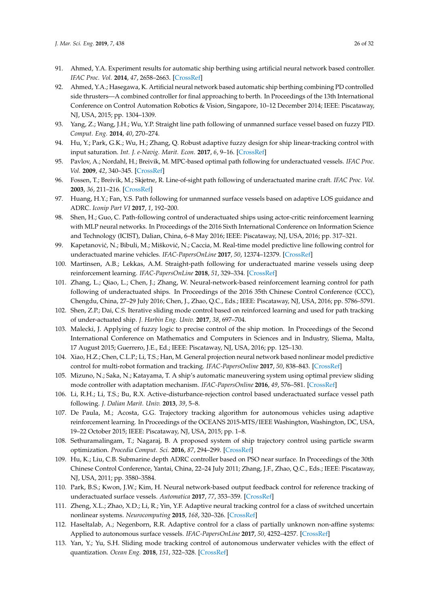- <span id="page-25-22"></span>91. Ahmed, Y.A. Experiment results for automatic ship berthing using artificial neural network based controller. *IFAC Proc. Vol.* **2014**, *47*, 2658–2663. [\[CrossRef\]](http://dx.doi.org/10.3182/20140824-6-ZA-1003.00538)
- <span id="page-25-0"></span>92. Ahmed, Y.A.; Hasegawa, K. Artificial neural network based automatic ship berthing combining PD controlled side thrusters—A combined controller for final approaching to berth. In Proceedings of the 13th International Conference on Control Automation Robotics & Vision, Singapore, 10–12 December 2014; IEEE: Piscataway, NJ, USA, 2015; pp. 1304–1309.
- <span id="page-25-1"></span>93. Yang, Z.; Wang, J.H.; Wu, Y.P. Straight line path following of unmanned surface vessel based on fuzzy PID. *Comput. Eng.* **2014**, *40*, 270–274.
- <span id="page-25-2"></span>94. Hu, Y.; Park, G.K.; Wu, H.; Zhang, Q. Robust adaptive fuzzy design for ship linear-tracking control with input saturation. *Int. J. e-Navig. Marit. Econ.* **2017**, *6*, 9–16. [\[CrossRef\]](http://dx.doi.org/10.1016/j.enavi.2017.05.002)
- <span id="page-25-3"></span>95. Pavlov, A.; Nordahl, H.; Breivik, M. MPC-based optimal path following for underactuated vessels. *IFAC Proc. Vol.* **2009**, *42*, 340–345. [\[CrossRef\]](http://dx.doi.org/10.3182/20090916-3-BR-3001.0065)
- <span id="page-25-4"></span>96. Fossen, T.; Breivik, M.; Skjetne, R. Line-of-sight path following of underactuated marine craft. *IFAC Proc. Vol.* **2003**, *36*, 211–216. [\[CrossRef\]](http://dx.doi.org/10.1016/S1474-6670(17)37809-6)
- <span id="page-25-5"></span>97. Huang, H.Y.; Fan, Y.S. Path following for unmanned surface vessels based on adaptive LOS guidance and ADRC. *Iconip Part VI* **2017**, *1*, 192–200.
- <span id="page-25-6"></span>98. Shen, H.; Guo, C. Path-following control of underactuated ships using actor-critic reinforcement learning with MLP neural networks. In Proceedings of the 2016 Sixth International Conference on Information Science and Technology (ICIST), Dalian, China, 6–8 May 2016; IEEE: Piscataway, NJ, USA, 2016; pp. 317–321.
- <span id="page-25-7"></span>99. Kapetanović, N.; Bibuli, M.; Mišković, N.; Caccia, M. Real-time model predictive line following control for underactuated marine vehicles. *IFAC-PapersOnLine* **2017**, *50*, 12374–12379. [\[CrossRef\]](http://dx.doi.org/10.1016/j.ifacol.2017.08.2501)
- <span id="page-25-8"></span>100. Martinsen, A.B.; Lekkas, A.M. Straight-path following for underactuated marine vessels using deep reinforcement learning. *IFAC-PapersOnLine* **2018**, *51*, 329–334. [\[CrossRef\]](http://dx.doi.org/10.1016/j.ifacol.2018.09.502)
- <span id="page-25-9"></span>101. Zhang, L.; Qiao, L.; Chen, J.; Zhang, W. Neural-network-based reinforcement learning control for path following of underactuated ships. In Proceedings of the 2016 35th Chinese Control Conference (CCC), Chengdu, China, 27–29 July 2016; Chen, J., Zhao, Q.C., Eds.; IEEE: Piscataway, NJ, USA, 2016; pp. 5786–5791.
- <span id="page-25-10"></span>102. Shen, Z.P.; Dai, C.S. Iterative sliding mode control based on reinforced learning and used for path tracking of under-actuated ship. *J. Harbin Eng. Univ.* **2017**, *38*, 697–704.
- <span id="page-25-11"></span>103. Malecki, J. Applying of fuzzy logic to precise control of the ship motion. In Proceedings of the Second International Conference on Mathematics and Computers in Sciences and in Industry, Sliema, Malta, 17 August 2015; Guerrero, J.E., Ed.; IEEE: Piscataway, NJ, USA, 2016; pp. 125–130.
- <span id="page-25-17"></span>104. Xiao, H.Z.; Chen, C.L.P.; Li, T.S.; Han, M. General projection neural network based nonlinear model predictive control for multi-robot formation and tracking. *IFAC-PapersOnline* **2017**, *50*, 838–843. [\[CrossRef\]](http://dx.doi.org/10.1016/j.ifacol.2017.08.149)
- <span id="page-25-12"></span>105. Mizuno, N.; Saka, N.; Katayama, T. A ship's automatic maneuvering system using optimal preview sliding mode controller with adaptation mechanism. *IFAC-PapersOnline* **2016**, *49*, 576–581. [\[CrossRef\]](http://dx.doi.org/10.1016/j.ifacol.2016.10.497)
- <span id="page-25-13"></span>106. Li, R.H.; Li, T.S.; Bu, R.X. Active-disturbance-rejection control based underactuated surface vessel path following. *J. Dalian Marit. Univ.* **2013**, *39*, 5–8.
- <span id="page-25-14"></span>107. De Paula, M.; Acosta, G.G. Trajectory tracking algorithm for autonomous vehicles using adaptive reinforcement learning. In Proceedings of the OCEANS 2015-MTS/IEEE Washington, Washington, DC, USA, 19–22 October 2015; IEEE: Piscataway, NJ, USA, 2015; pp. 1–8.
- <span id="page-25-15"></span>108. Sethuramalingam, T.; Nagaraj, B. A proposed system of ship trajectory control using particle swarm optimization. *Procedia Comput. Sci.* **2016**, *87*, 294–299. [\[CrossRef\]](http://dx.doi.org/10.1016/j.procs.2016.05.164)
- <span id="page-25-16"></span>109. Hu, K.; Liu, C.B. Submarine depth ADRC controller based on PSO near surface. In Proceedings of the 30th Chinese Control Conference, Yantai, China, 22–24 July 2011; Zhang, J.F., Zhao, Q.C., Eds.; IEEE: Piscataway, NJ, USA, 2011; pp. 3580–3584.
- <span id="page-25-18"></span>110. Park, B.S.; Kwon, J.W.; Kim, H. Neural network-based output feedback control for reference tracking of underactuated surface vessels. *Automatica* **2017**, *77*, 353–359. [\[CrossRef\]](http://dx.doi.org/10.1016/j.automatica.2016.11.024)
- <span id="page-25-19"></span>111. Zheng, X.L.; Zhao, X.D.; Li, R.; Yin, Y.F. Adaptive neural tracking control for a class of switched uncertain nonlinear systems. *Neurocomputing* **2015**, *168*, 320–326. [\[CrossRef\]](http://dx.doi.org/10.1016/j.neucom.2015.05.094)
- <span id="page-25-20"></span>112. Haseltalab, A.; Negenborn, R.R. Adaptive control for a class of partially unknown non-affine systems: Applied to autonomous surface vessels. *IFAC-PapersOnLine* **2017**, *50*, 4252–4257. [\[CrossRef\]](http://dx.doi.org/10.1016/j.ifacol.2017.08.830)
- <span id="page-25-21"></span>113. Yan, Y.; Yu, S.H. Sliding mode tracking control of autonomous underwater vehicles with the effect of quantization. *Ocean Eng.* **2018**, *151*, 322–328. [\[CrossRef\]](http://dx.doi.org/10.1016/j.oceaneng.2018.01.034)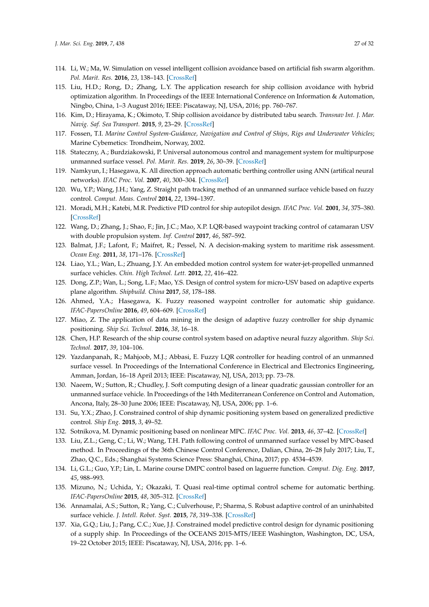- <span id="page-26-0"></span>114. Li, W.; Ma, W. Simulation on vessel intelligent collision avoidance based on artificial fish swarm algorithm. *Pol. Marit. Res.* **2016**, *23*, 138–143. [\[CrossRef\]](http://dx.doi.org/10.1515/pomr-2016-0058)
- <span id="page-26-1"></span>115. Liu, H.D.; Rong, D.; Zhang, L.Y. The application research for ship collision avoidance with hybrid optimization algorithm. In Proceedings of the IEEE International Conference on Information & Automation, Ningbo, China, 1–3 August 2016; IEEE: Piscataway, NJ, USA, 2016; pp. 760–767.
- <span id="page-26-2"></span>116. Kim, D.; Hirayama, K.; Okimoto, T. Ship collision avoidance by distributed tabu search. *Transnav Int. J. Mar. Navig. Saf. Sea Transport.* **2015**, *9*, 23–29. [\[CrossRef\]](http://dx.doi.org/10.12716/1001.09.01.03)
- <span id="page-26-3"></span>117. Fossen, T.I. *Marine Control System-Guidance, Navigation and Control of Ships, Rigs and Underwater Vehicles*; Marine Cybemetics: Trondheim, Norway, 2002.
- <span id="page-26-4"></span>118. Stateczny, A.; Burdziakowski, P. Universal autonomous control and management system for multipurpose unmanned surface vessel. *Pol. Marit. Res.* **2019**, *26*, 30–39. [\[CrossRef\]](http://dx.doi.org/10.2478/pomr-2019-0004)
- <span id="page-26-5"></span>119. Namkyun, I.; Hasegawa, K. All direction approach automatic berthing controller using ANN (artifical neural networks). *IFAC Proc. Vol.* **2007**, *40*, 300–304. [\[CrossRef\]](http://dx.doi.org/10.3182/20070919-3-HR-3904.00053)
- <span id="page-26-6"></span>120. Wu, Y.P.; Wang, J.H.; Yang, Z. Straight path tracking method of an unmanned surface vehicle based on fuzzy control. *Comput. Meas. Control* **2014**, *22*, 1394–1397.
- <span id="page-26-7"></span>121. Moradi, M.H.; Katebi, M.R. Predictive PID control for ship autopilot design. *IFAC Proc. Vol.* **2001**, *34*, 375–380. [\[CrossRef\]](http://dx.doi.org/10.1016/S1474-6670(17)35111-X)
- <span id="page-26-8"></span>122. Wang, D.; Zhang, J.; Shao, F.; Jin, J.C.; Mao, X.P. LQR-based waypoint tracking control of catamaran USV with double propulsion system. *Inf. Control* **2017**, *46*, 587–592.
- <span id="page-26-9"></span>123. Balmat, J.F.; Lafont, F.; Maifret, R.; Pessel, N. A decision-making system to maritime risk assessment. *Ocean Eng.* **2011**, *38*, 171–176. [\[CrossRef\]](http://dx.doi.org/10.1016/j.oceaneng.2010.10.012)
- <span id="page-26-10"></span>124. Liao, Y.L.; Wan, L.; Zhuang, J.Y. An embedded motion control system for water-jet-propelled unmanned surface vehicles. *Chin. High Technol. Lett.* **2012**, *22*, 416–422.
- <span id="page-26-11"></span>125. Dong, Z.P.; Wan, L.; Song, L.F.; Mao, Y.S. Design of control system for micro-USV based on adaptive experts plane algorithm. *Shipbuild. China* **2017**, *58*, 178–188.
- <span id="page-26-12"></span>126. Ahmed, Y.A.; Hasegawa, K. Fuzzy reasoned waypoint controller for automatic ship guidance. *IFAC-PapersOnline* **2016**, *49*, 604–609. [\[CrossRef\]](http://dx.doi.org/10.1016/j.ifacol.2016.10.501)
- <span id="page-26-13"></span>127. Miao, Z. The application of data mining in the design of adaptive fuzzy controller for ship dynamic positioning. *Ship Sci. Technol.* **2016**, *38*, 16–18.
- <span id="page-26-14"></span>128. Chen, H.P. Research of the ship course control system based on adaptive neural fuzzy algorithm. *Ship Sci. Technol.* **2017**, *39*, 104–106.
- <span id="page-26-15"></span>129. Yazdanpanah, R.; Mahjoob, M.J.; Abbasi, E. Fuzzy LQR controller for heading control of an unmanned surface vessel. In Proceedings of the International Conference in Electrical and Electronics Engineering, Amman, Jordan, 16–18 April 2013; IEEE: Piscataway, NJ, USA, 2013; pp. 73–78.
- <span id="page-26-16"></span>130. Naeem, W.; Sutton, R.; Chudley, J. Soft computing design of a linear quadratic gaussian controller for an unmanned surface vehicle. In Proceedings of the 14th Mediterranean Conference on Control and Automation, Ancona, Italy, 28–30 June 2006; IEEE: Piscataway, NJ, USA, 2006; pp. 1–6.
- <span id="page-26-17"></span>131. Su, Y.X.; Zhao, J. Constrained control of ship dynamic positioning system based on generalized predictive control. *Ship Eng.* **2015**, *3*, 49–52.
- <span id="page-26-18"></span>132. Sotnikova, M. Dynamic positioning based on nonlinear MPC. *IFAC Proc. Vol.* **2013**, *46*, 37–42. [\[CrossRef\]](http://dx.doi.org/10.3182/20130918-4-JP-3022.00058)
- <span id="page-26-19"></span>133. Liu, Z.L.; Geng, C.; Li, W.; Wang, T.H. Path following control of unmanned surface vessel by MPC-based method. In Proceedings of the 36th Chinese Control Conference, Dalian, China, 26–28 July 2017; Liu, T., Zhao, Q.C., Eds.; Shanghai Systems Science Press: Shanghai, China, 2017; pp. 4534–4539.
- <span id="page-26-20"></span>134. Li, G.L.; Guo, Y.P.; Lin, L. Marine course DMPC control based on laguerre function. *Comput. Dig. Eng.* **2017**, *45*, 988–993.
- <span id="page-26-21"></span>135. Mizuno, N.; Uchida, Y.; Okazaki, T. Quasi real-time optimal control scheme for automatic berthing. *IFAC-PapersOnline* **2015**, *48*, 305–312. [\[CrossRef\]](http://dx.doi.org/10.1016/j.ifacol.2015.10.297)
- <span id="page-26-22"></span>136. Annamalai, A.S.; Sutton, R.; Yang, C.; Culverhouse, P.; Sharma, S. Robust adaptive control of an uninhabited surface vehicle. *J. Intell. Robot. Syst.* **2015**, *78*, 319–338. [\[CrossRef\]](http://dx.doi.org/10.1007/s10846-014-0057-2)
- <span id="page-26-23"></span>137. Xia, G.Q.; Liu, J.; Pang, C.C.; Xue, J.J. Constrained model predictive control design for dynamic positioning of a supply ship. In Proceedings of the OCEANS 2015-MTS/IEEE Washington, Washington, DC, USA, 19–22 October 2015; IEEE: Piscataway, NJ, USA, 2016; pp. 1–6.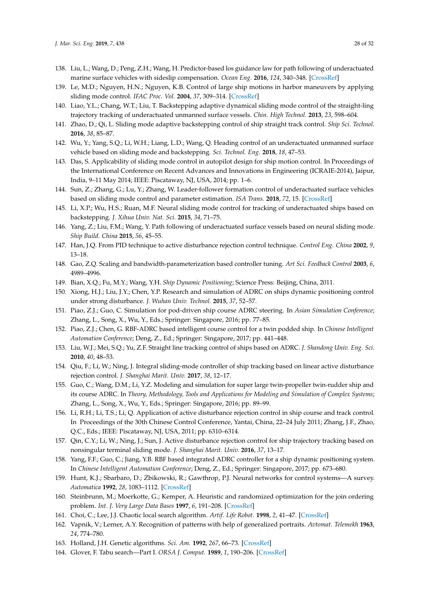- <span id="page-27-0"></span>138. Liu, L.; Wang, D.; Peng, Z.H.; Wang, H. Predictor-based los guidance law for path following of underactuated marine surface vehicles with sideslip compensation. *Ocean Eng.* **2016**, *124*, 340–348. [\[CrossRef\]](http://dx.doi.org/10.1016/j.oceaneng.2016.07.057)
- <span id="page-27-1"></span>139. Le, M.D.; Nguyen, H.N.; Nguyen, K.B. Control of large ship motions in harbor maneuvers by applying sliding mode control. *IFAC Proc. Vol.* **2004**, *37*, 309–314. [\[CrossRef\]](http://dx.doi.org/10.1016/S1474-6670(17)31486-6)
- <span id="page-27-2"></span>140. Liao, Y.L.; Chang, W.T.; Liu, T. Backstepping adaptive dynamical sliding mode control of the straight-ling trajectory tracking of underactuated unmanned surface vessels. *Chin. High Technol.* **2013**, *23*, 598–604.
- <span id="page-27-3"></span>141. Zhao, D.; Qi, L. Sliding mode adaptive backstepping control of ship straight track control. *Ship Sci. Technol.* **2016**, *38*, 85–87.
- <span id="page-27-4"></span>142. Wu, Y.; Yang, S.Q.; Li, W.H.; Liang, L.D.; Wang, Q. Heading control of an underactuated unmanned surface vehicle based on sliding mode and backstepping. *Sci. Technol. Eng.* **2018**, *18*, 47–53.
- <span id="page-27-5"></span>143. Das, S. Applicability of sliding mode control in autopilot design for ship motion control. In Proceedings of the International Conference on Recent Advances and Innovations in Engineering (ICRAIE-2014), Jaipur, India, 9–11 May 2014; IEEE: Piscataway, NJ, USA, 2014; pp. 1–6.
- <span id="page-27-6"></span>144. Sun, Z.; Zhang, G.; Lu, Y.; Zhang, W. Leader-follower formation control of underactuated surface vehicles based on sliding mode control and parameter estimation. *ISA Trans.* **2018**, *72*, 15. [\[CrossRef\]](http://dx.doi.org/10.1016/j.isatra.2017.11.008)
- <span id="page-27-7"></span>145. Li, X.P.; Wu, H.S.; Ruan, M.F. Neural sliding mode control for tracking of underactuated ships based on backstepping. *J. Xihua Univ. Nat. Sci.* **2015**, *34*, 71–75.
- <span id="page-27-8"></span>146. Yang, Z.; Liu, F.M.; Wang, Y. Path following of underactuated surface vessels based on neural sliding mode. *Ship Build. China* **2015**, *56*, 45–55.
- <span id="page-27-9"></span>147. Han, J.Q. From PID technique to active disturbance rejection control technique. *Control Eng. China* **2002**, *9*, 13–18.
- <span id="page-27-10"></span>148. Gao, Z.Q. Scaling and bandwidth-parameterization based controller tuning. *Art Sci. Feedback Control* **2003**, *6*, 4989–4996.
- <span id="page-27-12"></span><span id="page-27-11"></span>149. Bian, X.Q.; Fu, M.Y.; Wang, Y.H. *Ship Dynamic Positioning*; Science Press: Beijing, China, 2011.
- 150. Xiong, H.J.; Liu, J.Y.; Chen, Y.P. Research and simulation of ADRC on ships dynamic positioning control under strong disturbance. *J. Wuhan Univ. Technol.* **2015**, *37*, 52–57.
- <span id="page-27-13"></span>151. Piao, Z.J.; Guo, C. Simulation for pod-driven ship course ADRC steering. In *Asian Simulation Conference*; Zhang, L., Song, X., Wu, Y., Eds.; Springer: Singapore, 2016; pp. 77–85.
- <span id="page-27-14"></span>152. Piao, Z.J.; Chen, G. RBF-ADRC based intelligent course control for a twin podded ship. In *Chinese Intelligent Automation Conference*; Deng, Z., Ed.; Springer: Singapore, 2017; pp. 441–448.
- <span id="page-27-15"></span>153. Liu, W.J.; Mei, S.Q.; Yu, Z.F. Straight line tracking control of ships based on ADRC. *J. Shandong Univ. Eng. Sci.* **2010**, *40*, 48–53.
- <span id="page-27-16"></span>154. Qiu, F.; Li, W.; Ning, J. Integral sliding-mode controller of ship tracking based on linear active disturbance rejection control. *J. Shanghai Marit. Univ.* **2017**, *38*, 12–17.
- <span id="page-27-17"></span>155. Guo, C.; Wang, D.M.; Li, Y.Z. Modeling and simulation for super large twin-propeller twin-rudder ship and its course ADRC. In *Theory, Methodology, Tools and Applications for Modeling and Simulation of Complex Systems*; Zhang, L., Song, X., Wu, Y., Eds.; Springer: Singapore, 2016; pp. 89–99.
- <span id="page-27-18"></span>156. Li, R.H.; Li, T.S.; Li, Q. Application of active disturbance rejection control in ship course and track control. In Proceedings of the 30th Chinese Control Conference, Yantai, China, 22–24 July 2011; Zhang, J.F., Zhao, Q.C., Eds.; IEEE: Piscataway, NJ, USA, 2011; pp. 6310–6314.
- <span id="page-27-19"></span>157. Qin, C.Y.; Li, W.; Ning, J.; Sun, J. Active disturbance rejection control for ship trajectory tracking based on nonsingular terminal sliding mode. *J. Shanghai Marit. Univ.* **2016**, *37*, 13–17.
- <span id="page-27-20"></span>158. Yang, F.F.; Guo, C.; Jiang, Y.B. RBF based integrated ADRC controller for a ship dynamic positioning system. In *Chinese Intelligent Automation Conference*; Deng, Z., Ed.; Springer: Singapore, 2017; pp. 673–680.
- <span id="page-27-21"></span>159. Hunt, K.J.; Sbarbaro, D.; Zbikowski, R.; Gawthrop, P.J. Neural networks for control systems—A survey. ˙ *Automatica* **1992**, *28*, 1083–1112. [\[CrossRef\]](http://dx.doi.org/10.1016/0005-1098(92)90053-I)
- <span id="page-27-22"></span>160. Steinbrunn, M.; Moerkotte, G.; Kemper, A. Heuristic and randomized optimization for the join ordering problem. *Int. J. Very Large Data Bases* **1997**, *6*, 191–208. [\[CrossRef\]](http://dx.doi.org/10.1007/s007780050040)
- <span id="page-27-23"></span>161. Choi, C.; Lee, J.J. Chaotic local search algorithm. *Artif. Life Robot.* **1998**, *2*, 41–47. [\[CrossRef\]](http://dx.doi.org/10.1007/BF02471151)
- <span id="page-27-24"></span>162. Vapnik, V.; Lerner, A.Y. Recognition of patterns with help of generalized portraits. *Avtomat. Telemekh* **1963**, *24*, 774–780.
- <span id="page-27-26"></span><span id="page-27-25"></span>163. Holland, J.H. Genetic algorithms. *Sci. Am.* **1992**, *267*, 66–73. [\[CrossRef\]](http://dx.doi.org/10.1038/scientificamerican0792-66)
- 164. Glover, F. Tabu search—Part I. *ORSA J. Comput.* **1989**, *1*, 190–206. [\[CrossRef\]](http://dx.doi.org/10.1287/ijoc.1.3.190)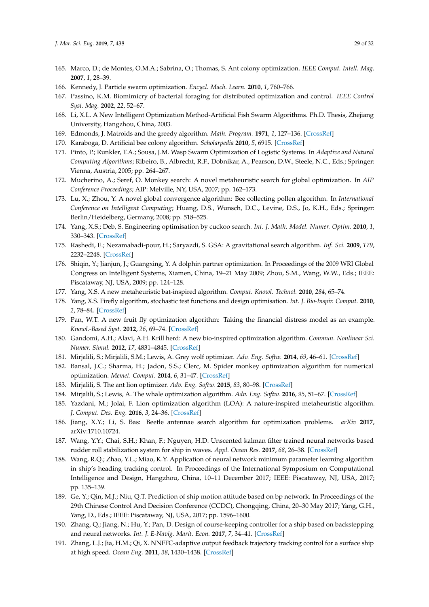- <span id="page-28-0"></span>165. Marco, D.; de Montes, O.M.A.; Sabrina, O.; Thomas, S. Ant colony optimization. *IEEE Comput. Intell. Mag.* **2007**, *1*, 28–39.
- <span id="page-28-1"></span>166. Kennedy, J. Particle swarm optimization. *Encycl. Mach. Learn.* **2010**, *1*, 760–766.
- <span id="page-28-2"></span>167. Passino, K.M. Biomimicry of bacterial foraging for distributed optimization and control. *IEEE Control Syst. Mag.* **2002**, *22*, 52–67.
- <span id="page-28-3"></span>168. Li, X.L. A New Intelligent Optimization Method-Artificial Fish Swarm Algorithms. Ph.D. Thesis, Zhejiang University, Hangzhou, China, 2003.
- <span id="page-28-4"></span>169. Edmonds, J. Matroids and the greedy algorithm. *Math. Program.* **1971**, *1*, 127–136. [\[CrossRef\]](http://dx.doi.org/10.1007/BF01584082)
- <span id="page-28-5"></span>170. Karaboga, D. Artificial bee colony algorithm. *Scholarpedia* **2010**, *5*, 6915. [\[CrossRef\]](http://dx.doi.org/10.4249/scholarpedia.6915)
- <span id="page-28-6"></span>171. Pinto, P.; Runkler, T.A.; Sousa, J.M. Wasp Swarm Optimization of Logistic Systems. In *Adaptive and Natural Computing Algorithms*; Ribeiro, B., Albrecht, R.F., Dobnikar, A., Pearson, D.W., Steele, N.C., Eds.; Springer: Vienna, Austria, 2005; pp. 264–267.
- <span id="page-28-7"></span>172. Mucherino, A.; Seref, O. Monkey search: A novel metaheuristic search for global optimization. In *AIP Conference Proceedings*; AIP: Melville, NY, USA, 2007; pp. 162–173.
- <span id="page-28-8"></span>173. Lu, X.; Zhou, Y. A novel global convergence algorithm: Bee collecting pollen algorithm. In *International Conference on Intelligent Computing*; Huang, D.S., Wunsch, D.C., Levine, D.S., Jo, K.H., Eds.; Springer: Berlin/Heidelberg, Germany, 2008; pp. 518–525.
- <span id="page-28-9"></span>174. Yang, X.S.; Deb, S. Engineering optimisation by cuckoo search. *Int. J. Math. Model. Numer. Optim.* **2010**, *1*, 330–343. [\[CrossRef\]](http://dx.doi.org/10.1504/IJMMNO.2010.035430)
- <span id="page-28-10"></span>175. Rashedi, E.; Nezamabadi-pour, H.; Saryazdi, S. GSA: A gravitational search algorithm. *Inf. Sci.* **2009**, *179*, 2232–2248. [\[CrossRef\]](http://dx.doi.org/10.1016/j.ins.2009.03.004)
- <span id="page-28-11"></span>176. Shiqin, Y.; Jianjun, J.; Guangxing, Y. A dolphin partner optimization. In Proceedings of the 2009 WRI Global Congress on Intelligent Systems, Xiamen, China, 19–21 May 2009; Zhou, S.M., Wang, W.W., Eds.; IEEE: Piscataway, NJ, USA, 2009; pp. 124–128.
- <span id="page-28-12"></span>177. Yang, X.S. A new metaheuristic bat-inspired algorithm. *Comput. Knowl. Technol.* **2010**, *284*, 65–74.
- <span id="page-28-13"></span>178. Yang, X.S. Firefly algorithm, stochastic test functions and design optimisation. *Int. J. Bio-Inspir. Comput.* **2010**, *2*, 78–84. [\[CrossRef\]](http://dx.doi.org/10.1504/IJBIC.2010.032124)
- <span id="page-28-14"></span>179. Pan, W.T. A new fruit fly optimization algorithm: Taking the financial distress model as an example. *Knowl.-Based Syst.* **2012**, *26*, 69–74. [\[CrossRef\]](http://dx.doi.org/10.1016/j.knosys.2011.07.001)
- <span id="page-28-15"></span>180. Gandomi, A.H.; Alavi, A.H. Krill herd: A new bio-inspired optimization algorithm. *Commun. Nonlinear Sci. Numer. Simul.* **2012**, *17*, 4831–4845. [\[CrossRef\]](http://dx.doi.org/10.1016/j.cnsns.2012.05.010)
- <span id="page-28-16"></span>181. Mirjalili, S.; Mirjalili, S.M.; Lewis, A. Grey wolf optimizer. *Adv. Eng. Softw.* **2014**, *69*, 46–61. [\[CrossRef\]](http://dx.doi.org/10.1016/j.advengsoft.2013.12.007)
- <span id="page-28-17"></span>182. Bansal, J.C.; Sharma, H.; Jadon, S.S.; Clerc, M. Spider monkey optimization algorithm for numerical optimization. *Memet. Comput.* **2014**, *6*, 31–47. [\[CrossRef\]](http://dx.doi.org/10.1007/s12293-013-0128-0)
- <span id="page-28-18"></span>183. Mirjalili, S. The ant lion optimizer. *Adv. Eng. Softw.* **2015**, *83*, 80–98. [\[CrossRef\]](http://dx.doi.org/10.1016/j.advengsoft.2015.01.010)
- <span id="page-28-19"></span>184. Mirjalili, S.; Lewis, A. The whale optimization algorithm. *Adv. Eng. Softw.* **2016**, *95*, 51–67. [\[CrossRef\]](http://dx.doi.org/10.1016/j.advengsoft.2016.01.008)
- <span id="page-28-20"></span>185. Yazdani, M.; Jolai, F. Lion optimization algorithm (LOA): A nature-inspired metaheuristic algorithm. *J. Comput. Des. Eng.* **2016**, *3*, 24–36. [\[CrossRef\]](http://dx.doi.org/10.1016/j.jcde.2015.06.003)
- <span id="page-28-21"></span>186. Jiang, X.Y.; Li, S. Bas: Beetle antennae search algorithm for optimization problems. *arXiv* **2017**, arXiv:1710.10724.
- <span id="page-28-22"></span>187. Wang, Y.Y.; Chai, S.H.; Khan, F.; Nguyen, H.D. Unscented kalman filter trained neural networks based rudder roll stabilization system for ship in waves. *Appl. Ocean Res.* **2017**, *68*, 26–38. [\[CrossRef\]](http://dx.doi.org/10.1016/j.apor.2017.08.007)
- <span id="page-28-23"></span>188. Wang, R.Q.; Zhao, Y.L.; Miao, K.Y. Application of neural network minimum parameter learning algorithm in ship's heading tracking control. In Proceedings of the International Symposium on Computational Intelligence and Design, Hangzhou, China, 10–11 December 2017; IEEE: Piscataway, NJ, USA, 2017; pp. 135–139.
- <span id="page-28-24"></span>189. Ge, Y.; Qin, M.J.; Niu, Q.T. Prediction of ship motion attitude based on bp network. In Proceedings of the 29th Chinese Control And Decision Conference (CCDC), Chongqing, China, 20–30 May 2017; Yang, G.H., Yang, D., Eds.; IEEE: Piscataway, NJ, USA, 2017; pp. 1596–1600.
- <span id="page-28-25"></span>190. Zhang, Q.; Jiang, N.; Hu, Y.; Pan, D. Design of course-keeping controller for a ship based on backstepping and neural networks. *Int. J. E-Navig. Marit. Econ.* **2017**, *7*, 34–41. [\[CrossRef\]](http://dx.doi.org/10.1016/j.enavi.2017.06.004)
- <span id="page-28-26"></span>191. Zhang, L.J.; Jia, H.M.; Qi, X. NNFFC-adaptive output feedback trajectory tracking control for a surface ship at high speed. *Ocean Eng.* **2011**, *38*, 1430–1438. [\[CrossRef\]](http://dx.doi.org/10.1016/j.oceaneng.2011.07.006)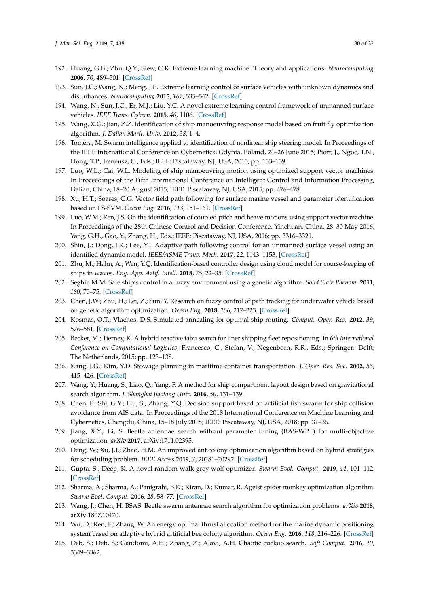- <span id="page-29-0"></span>192. Huang, G.B.; Zhu, Q.Y.; Siew, C.K. Extreme learning machine: Theory and applications. *Neurocomputing* **2006**, *70*, 489–501. [\[CrossRef\]](http://dx.doi.org/10.1016/j.neucom.2005.12.126)
- <span id="page-29-1"></span>193. Sun, J.C.; Wang, N.; Meng, J.E. Extreme learning control of surface vehicles with unknown dynamics and disturbances. *Neurocomputing* **2015**, *167*, 535–542. [\[CrossRef\]](http://dx.doi.org/10.1016/j.neucom.2015.04.039)
- <span id="page-29-2"></span>194. Wang, N.; Sun, J.C.; Er, M.J.; Liu, Y.C. A novel extreme learning control framework of unmanned surface vehicles. *IEEE Trans. Cybern.* **2015**, *46*, 1106. [\[CrossRef\]](http://dx.doi.org/10.1109/TCYB.2015.2423635)
- <span id="page-29-3"></span>195. Wang, X.G.; Jian, Z.Z. Identification of ship manoeuvring response model based on fruit fly optimization algorithm. *J. Dalian Marit. Univ.* **2012**, *38*, 1–4.
- 196. Tomera, M. Swarm intelligence applied to identification of nonlinear ship steering model. In Proceedings of the IEEE International Conference on Cybernetics, Gdynia, Poland, 24–26 June 2015; Piotr, J., Ngoc, T.N., Hong, T.P., Ireneusz, C., Eds.; IEEE: Piscataway, NJ, USA, 2015; pp. 133–139.
- 197. Luo, W.L.; Cai, W.L. Modeling of ship manoeuvring motion using optimized support vector machines. In Proceedings of the Fifth International Conference on Intelligent Control and Information Processing, Dalian, China, 18–20 August 2015; IEEE: Piscataway, NJ, USA, 2015; pp. 476–478.
- 198. Xu, H.T.; Soares, C.G. Vector field path following for surface marine vessel and parameter identification based on LS-SVM. *Ocean Eng.* **2016**, *113*, 151–161. [\[CrossRef\]](http://dx.doi.org/10.1016/j.oceaneng.2015.12.037)
- <span id="page-29-7"></span>199. Luo, W.M.; Ren, J.S. On the identification of coupled pitch and heave motions using support vector machine. In Proceedings of the 28th Chinese Control and Decision Conference, Yinchuan, China, 28–30 May 2016; Yang, G.H., Gao, Y., Zhang, H., Eds.; IEEE: Piscataway, NJ, USA, 2016; pp. 3316–3321.
- 200. Shin, J.; Dong, J.K.; Lee, Y.I. Adaptive path following control for an unmanned surface vessel using an identified dynamic model. *IEEE/ASME Trans. Mech.* **2017**, *22*, 1143–1153. [\[CrossRef\]](http://dx.doi.org/10.1109/TMECH.2017.2651057)
- <span id="page-29-4"></span>201. Zhu, M.; Hahn, A.; Wen, Y.Q. Identification-based controller design using cloud model for course-keeping of ships in waves. *Eng. App. Artif. Intell.* **2018**, *75*, 22–35. [\[CrossRef\]](http://dx.doi.org/10.1016/j.engappai.2018.07.011)
- <span id="page-29-5"></span>202. Seghir, M.M. Safe ship's control in a fuzzy environment using a genetic algorithm. *Solid State Phenom.* **2011**, *180*, 70–75. [\[CrossRef\]](http://dx.doi.org/10.4028/www.scientific.net/SSP.180.70)
- <span id="page-29-6"></span>203. Chen, J.W.; Zhu, H.; Lei, Z.; Sun, Y. Research on fuzzy control of path tracking for underwater vehicle based on genetic algorithm optimization. *Ocean Eng.* **2018**, *156*, 217–223. [\[CrossRef\]](http://dx.doi.org/10.1016/j.oceaneng.2018.03.010)
- <span id="page-29-8"></span>204. Kosmas, O.T.; Vlachos, D.S. Simulated annealing for optimal ship routing. *Comput. Oper. Res.* **2012**, *39*, 576–581. [\[CrossRef\]](http://dx.doi.org/10.1016/j.cor.2011.05.010)
- <span id="page-29-9"></span>205. Becker, M.; Tierney, K. A hybrid reactive tabu search for liner shipping fleet repositioning. In *6th International Conference on Computational Logistics*; Francesco, C., Stefan, V., Negenborn, R.R., Eds.; Springer: Delft, The Netherlands, 2015; pp. 123–138.
- <span id="page-29-10"></span>206. Kang, J.G.; Kim, Y.D. Stowage planning in maritime container transportation. *J. Oper. Res. Soc.* **2002**, *53*, 415–426. [\[CrossRef\]](http://dx.doi.org/10.1057/palgrave.jors.2601322)
- <span id="page-29-11"></span>207. Wang, Y.; Huang, S.; Liao, Q.; Yang, F. A method for ship compartment layout design based on gravitational search algorithm. *J. Shanghai Jiaotong Univ.* **2016**, *50*, 131–139.
- <span id="page-29-12"></span>208. Chen, P.; Shi, G.Y.; Liu, S.; Zhang, Y.Q. Decision support based on artificial fish swarm for ship collision avoidance from AIS data. In Proceedings of the 2018 International Conference on Machine Learning and Cybernetics, Chengdu, China, 15–18 July 2018; IEEE: Piscataway, NJ, USA, 2018; pp. 31–36.
- <span id="page-29-13"></span>209. Jiang, X.Y.; Li, S. Beetle antennae search without parameter tuning (BAS-WPT) for multi-objective optimization. *arXiv* **2017**, arXiv:1711.02395.
- 210. Deng, W.; Xu, J.J.; Zhao, H.M. An improved ant colony optimization algorithm based on hybrid strategies for scheduling problem. *IEEE Access* **2019**, *7*, 20281–20292. [\[CrossRef\]](http://dx.doi.org/10.1109/ACCESS.2019.2897580)
- 211. Gupta, S.; Deep, K. A novel random walk grey wolf optimizer. *Swarm Evol. Comput.* **2019**, *44*, 101–112. [\[CrossRef\]](http://dx.doi.org/10.1016/j.swevo.2018.01.001)
- 212. Sharma, A.; Sharma, A.; Panigrahi, B.K.; Kiran, D.; Kumar, R. Ageist spider monkey optimization algorithm. *Swarm Evol. Comput.* **2016**, *28*, 58–77. [\[CrossRef\]](http://dx.doi.org/10.1016/j.swevo.2016.01.002)
- <span id="page-29-14"></span>213. Wang, J.; Chen, H. BSAS: Beetle swarm antennae search algorithm for optimization problems. *arXiv* **2018**, arXiv:1807.10470.
- <span id="page-29-15"></span>214. Wu, D.; Ren, F.; Zhang, W. An energy optimal thrust allocation method for the marine dynamic positioning system based on adaptive hybrid artificial bee colony algorithm. *Ocean Eng.* **2016**, *118*, 216–226. [\[CrossRef\]](http://dx.doi.org/10.1016/j.oceaneng.2016.04.004)
- 215. Deb, S.; Deb, S.; Gandomi, A.H.; Zhang, Z.; Alavi, A.H. Chaotic cuckoo search. *Soft Comput.* **2016**, *20*, 3349–3362.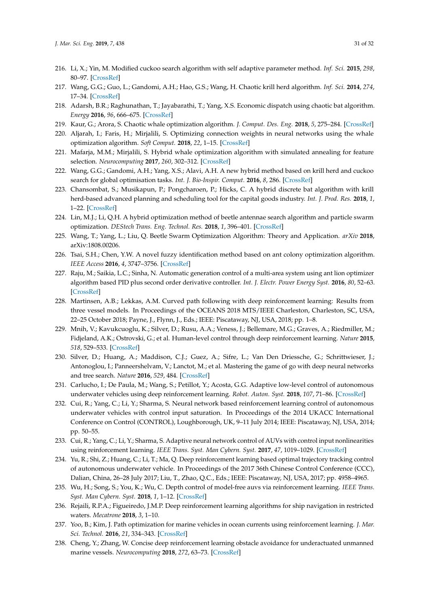- 216. Li, X.; Yin, M. Modified cuckoo search algorithm with self adaptive parameter method. *Inf. Sci.* **2015**, *298*, 80–97. [\[CrossRef\]](http://dx.doi.org/10.1016/j.ins.2014.11.042)
- 217. Wang, G.G.; Guo, L.; Gandomi, A.H.; Hao, G.S.; Wang, H. Chaotic krill herd algorithm. *Inf. Sci.* **2014**, *274*, 17–34. [\[CrossRef\]](http://dx.doi.org/10.1016/j.ins.2014.02.123)
- 218. Adarsh, B.R.; Raghunathan, T.; Jayabarathi, T.; Yang, X.S. Economic dispatch using chaotic bat algorithm. *Energy* **2016**, *96*, 666–675. [\[CrossRef\]](http://dx.doi.org/10.1016/j.energy.2015.12.096)
- <span id="page-30-0"></span>219. Kaur, G.; Arora, S. Chaotic whale optimization algorithm. *J. Comput. Des. Eng.* **2018**, *5*, 275–284. [\[CrossRef\]](http://dx.doi.org/10.1016/j.jcde.2017.12.006)
- <span id="page-30-1"></span>220. Aljarah, I.; Faris, H.; Mirjalili, S. Optimizing connection weights in neural networks using the whale optimization algorithm. *Soft Comput.* **2018**, *22*, 1–15. [\[CrossRef\]](http://dx.doi.org/10.1007/s00500-016-2442-1)
- <span id="page-30-2"></span>221. Mafarja, M.M.; Mirjalili, S. Hybrid whale optimization algorithm with simulated annealing for feature selection. *Neurocomputing* **2017**, *260*, 302–312. [\[CrossRef\]](http://dx.doi.org/10.1016/j.neucom.2017.04.053)
- <span id="page-30-3"></span>222. Wang, G.G.; Gandomi, A.H.; Yang, X.S.; Alavi, A.H. A new hybrid method based on krill herd and cuckoo search for global optimisation tasks. *Int. J. Bio-Inspir. Comput.* **2016**, *8*, 286. [\[CrossRef\]](http://dx.doi.org/10.1504/IJBIC.2016.079569)
- <span id="page-30-4"></span>223. Chansombat, S.; Musikapun, P.; Pongcharoen, P.; Hicks, C. A hybrid discrete bat algorithm with krill herd-based advanced planning and scheduling tool for the capital goods industry. *Int. J. Prod. Res.* **2018**, *1*, 1–22. [\[CrossRef\]](http://dx.doi.org/10.1080/00207543.2018.1471240)
- <span id="page-30-5"></span>224. Lin, M.J.; Li, Q.H. A hybrid optimization method of beetle antennae search algorithm and particle swarm optimization. *DEStech Trans. Eng. Technol. Res.* **2018**, *1*, 396–401. [\[CrossRef\]](http://dx.doi.org/10.12783/dtetr/ecar2018/26379)
- <span id="page-30-6"></span>225. Wang, T.; Yang, L.; Liu, Q. Beetle Swarm Optimization Algorithm: Theory and Application. *arXiv* **2018**, arXiv:1808.00206.
- <span id="page-30-7"></span>226. Tsai, S.H.; Chen, Y.W. A novel fuzzy identification method based on ant colony optimization algorithm. *IEEE Access* **2016**, *4*, 3747–3756. [\[CrossRef\]](http://dx.doi.org/10.1109/ACCESS.2016.2585670)
- <span id="page-30-8"></span>227. Raju, M.; Saikia, L.C.; Sinha, N. Automatic generation control of a multi-area system using ant lion optimizer algorithm based PID plus second order derivative controller. *Int. J. Electr. Power Energy Syst.* **2016**, *80*, 52–63. [\[CrossRef\]](http://dx.doi.org/10.1016/j.ijepes.2016.01.037)
- <span id="page-30-9"></span>228. Martinsen, A.B.; Lekkas, A.M. Curved path following with deep reinforcement learning: Results from three vessel models. In Proceedings of the OCEANS 2018 MTS/IEEE Charleston, Charleston, SC, USA, 22–25 October 2018; Payne, J., Flynn, J., Eds.; IEEE: Piscataway, NJ, USA, 2018; pp. 1–8.
- <span id="page-30-10"></span>229. Mnih, V.; Kavukcuoglu, K.; Silver, D.; Rusu, A.A.; Veness, J.; Bellemare, M.G.; Graves, A.; Riedmiller, M.; Fidjeland, A.K.; Ostrovski, G.; et al. Human-level control through deep reinforcement learning. *Nature* **2015**, *518*, 529–533. [\[CrossRef\]](http://dx.doi.org/10.1038/nature14236)
- <span id="page-30-11"></span>230. Silver, D.; Huang, A.; Maddison, C.J.; Guez, A.; Sifre, L.; Van Den Driessche, G.; Schrittwieser, J.; Antonoglou, I.; Panneershelvam, V.; Lanctot, M.; et al. Mastering the game of go with deep neural networks and tree search. *Nature* **2016**, *529*, 484. [\[CrossRef\]](http://dx.doi.org/10.1038/nature16961)
- <span id="page-30-12"></span>231. Carlucho, I.; De Paula, M.; Wang, S.; Petillot, Y.; Acosta, G.G. Adaptive low-level control of autonomous underwater vehicles using deep reinforcement learning. *Robot. Auton. Syst.* **2018**, *107*, 71–86. [\[CrossRef\]](http://dx.doi.org/10.1016/j.robot.2018.05.016)
- <span id="page-30-13"></span>232. Cui, R.; Yang, C.; Li, Y.; Sharma, S. Neural network based reinforcement learning control of autonomous underwater vehicles with control input saturation. In Proceedings of the 2014 UKACC International Conference on Control (CONTROL), Loughborough, UK, 9–11 July 2014; IEEE: Piscataway, NJ, USA, 2014; pp. 50–55.
- <span id="page-30-14"></span>233. Cui, R.; Yang, C.; Li, Y.; Sharma, S. Adaptive neural network control of AUVs with control input nonlinearities using reinforcement learning. *IEEE Trans. Syst. Man Cybern. Syst.* **2017**, *47*, 1019–1029. [\[CrossRef\]](http://dx.doi.org/10.1109/TSMC.2016.2645699)
- <span id="page-30-15"></span>234. Yu, R.; Shi, Z.; Huang, C.; Li, T.; Ma, Q. Deep reinforcement learning based optimal trajectory tracking control of autonomous underwater vehicle. In Proceedings of the 2017 36th Chinese Control Conference (CCC), Dalian, China, 26–28 July 2017; Liu, T., Zhao, Q.C., Eds.; IEEE: Piscataway, NJ, USA, 2017; pp. 4958–4965.
- <span id="page-30-16"></span>235. Wu, H.; Song, S.; You, K.; Wu, C. Depth control of model-free auvs via reinforcement learning. *IEEE Trans. Syst. Man Cybern. Syst.* **2018**, *1*, 1–12. [\[CrossRef\]](http://dx.doi.org/10.1109/TSMC.2017.2785794)
- <span id="page-30-17"></span>236. Rejaili, R.P.A.; Figueiredo, J.M.P. Deep reinforcement learning algorithms for ship navigation in restricted waters. *Mecatrone* **2018**, *3*, 1–10.
- <span id="page-30-18"></span>237. Yoo, B.; Kim, J. Path optimization for marine vehicles in ocean currents using reinforcement learning. *J. Mar. Sci. Technol.* **2016**, *21*, 334–343. [\[CrossRef\]](http://dx.doi.org/10.1007/s00773-015-0355-9)
- <span id="page-30-19"></span>238. Cheng, Y.; Zhang, W. Concise deep reinforcement learning obstacle avoidance for underactuated unmanned marine vessels. *Neurocomputing* **2018**, *272*, 63–73. [\[CrossRef\]](http://dx.doi.org/10.1016/j.neucom.2017.06.066)